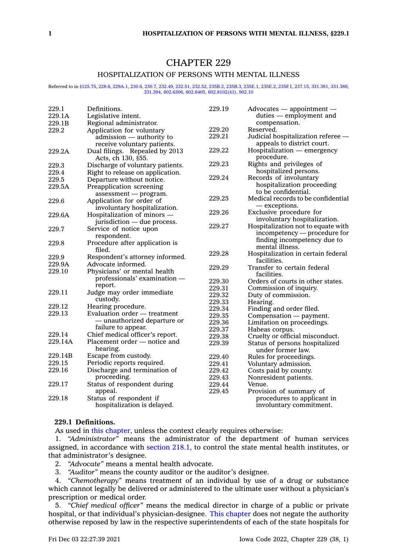# CHAPTER 229

# HOSPITALIZATION OF PERSONS WITH MENTAL ILLNESS

#### Referred to in [§125.75](https://www.legis.iowa.gov/docs/code/125.75.pdf), [228.6](https://www.legis.iowa.gov/docs/code/228.6.pdf), [229A.1](https://www.legis.iowa.gov/docs/code/229A.1.pdf), [230.6](https://www.legis.iowa.gov/docs/code/230.6.pdf), [230.7,](https://www.legis.iowa.gov/docs/code/230.7.pdf) [232.49,](https://www.legis.iowa.gov/docs/code/232.49.pdf) [232.51,](https://www.legis.iowa.gov/docs/code/232.51.pdf) [232.52,](https://www.legis.iowa.gov/docs/code/232.52.pdf) [235B.2](https://www.legis.iowa.gov/docs/code/235B.2.pdf), [235B.3](https://www.legis.iowa.gov/docs/code/235B.3.pdf), [235E.1](https://www.legis.iowa.gov/docs/code/235E.1.pdf), [235E.2](https://www.legis.iowa.gov/docs/code/235E.2.pdf), [235F.1](https://www.legis.iowa.gov/docs/code/235F.1.pdf), [237.15](https://www.legis.iowa.gov/docs/code/237.15.pdf), [331.381](https://www.legis.iowa.gov/docs/code/331.381.pdf), [331.389](https://www.legis.iowa.gov/docs/code/331.389.pdf), [331.394,](https://www.legis.iowa.gov/docs/code/331.394.pdf) [602.6306](https://www.legis.iowa.gov/docs/code/602.6306.pdf), [602.6405](https://www.legis.iowa.gov/docs/code/602.6405.pdf), [602.8102\(41\)](https://www.legis.iowa.gov/docs/code/602.8102.pdf), [902.10](https://www.legis.iowa.gov/docs/code/902.10.pdf)

| Definitions.<br>229.1<br>229.19<br>$Advocates$ - appointment -                           |  |
|------------------------------------------------------------------------------------------|--|
| 229.1A<br>Legislative intent.<br>duties — employment and                                 |  |
| 229.1B<br>Regional administrator.<br>compensation.                                       |  |
| 229.20<br>Reserved.<br>Application for voluntary<br>229.2                                |  |
| 229.21<br>Judicial hospitalization referee -<br>admission — authority to                 |  |
| appeals to district court.<br>receive voluntary patients.                                |  |
| 229.22<br>Hospitalization — emergency<br>229.2A<br>Dual filings. Repealed by 2013        |  |
| procedure.<br>Acts, ch 130, §55.                                                         |  |
| 229.23<br>Rights and privileges of<br>229.3<br>Discharge of voluntary patients.          |  |
| hospitalized persons.<br>229.4<br>Right to release on application.                       |  |
| 229.24<br>Records of involuntary<br>229.5<br>Departure without notice.                   |  |
| hospitalization proceeding<br>Preapplication screening<br>229.5A                         |  |
| to be confidential.<br>$assessment$ - program.                                           |  |
| 229.25<br>Medical records to be confidential<br>229.6<br>Application for order of        |  |
| — exceptions.<br>involuntary hospitalization.                                            |  |
| 229.26<br>Exclusive procedure for<br>229.6A<br>Hospitalization of minors —               |  |
| involuntary hospitalization.<br>jurisdiction - due process.                              |  |
| 229.27<br>Hospitalization not to equate with<br>229.7<br>Service of notice upon          |  |
| incompetency — procedure for<br>respondent.                                              |  |
| finding incompetency due to<br>229.8                                                     |  |
| Procedure after application is<br>mental illness.<br>filed.                              |  |
| 229.28<br>Hospitalization in certain federal<br>229.9<br>Respondent's attorney informed. |  |
| facilities.<br>Advocate informed.<br>229.9A                                              |  |
| Transfer to certain federal<br>229.29<br>229.10                                          |  |
| Physicians' or mental health<br>facilities.                                              |  |
| professionals' examination -<br>229.30<br>Orders of courts in other states.              |  |
| report.<br>229.31<br>Commission of inquiry.                                              |  |
| Judge may order immediate<br>229.11<br>229.32<br>Duty of commission.                     |  |
| custody.<br>229.33<br>Hearing.                                                           |  |
| 229.12<br>Hearing procedure.<br>229.34<br>Finding and order filed.                       |  |
| 229.13<br>Evaluation order - treatment<br>229.35<br>Compensation - payment.              |  |
| — unauthorized departure or<br>229.36<br>Limitation on proceedings.                      |  |
| failure to appear.<br>229.37<br>Habeas corpus.                                           |  |
| Chief medical officer's report.<br>229.14<br>229.38<br>Cruelty or official misconduct.   |  |
| Placement order - notice and<br>229.14A<br>229.39<br>Status of persons hospitalized      |  |
| hearing.<br>under former law.                                                            |  |
| 229.14B<br>Escape from custody.<br>229.40<br>Rules for proceedings.                      |  |
| 229.15<br>Periodic reports required.<br>229.41<br>Voluntary admission.                   |  |
| 229.16<br>Discharge and termination of<br>229.42<br>Costs paid by county.                |  |
| proceeding.<br>229.43<br>Nonresident patients.                                           |  |
| 229.17<br>Status of respondent during<br>229.44<br>Venue.                                |  |
| 229.45<br>appeal.<br>Provision of summary of                                             |  |
| 229.18<br>Status of respondent if<br>procedures to applicant in                          |  |
| hospitalization is delayed.<br>involuntary commitment.                                   |  |

# **229.1 Definitions.**

As used in this [chapter](https://www.legis.iowa.gov/docs/code//229.pdf), unless the context clearly requires otherwise:

1. *"Administrator"* means the administrator of the department of human services assigned, in accordance with [section](https://www.legis.iowa.gov/docs/code/218.1.pdf) 218.1, to control the state mental health institutes, or that administrator's designee.

- 2. *"Advocate"* means <sup>a</sup> mental health advocate.
- 3. *"Auditor"* means the county auditor or the auditor's designee.

4. *"Chemotherapy"* means treatment of an individual by use of <sup>a</sup> drug or substance which cannot legally be delivered or administered to the ultimate user without <sup>a</sup> physician's prescription or medical order.

5. *"Chief medical officer"* means the medical director in charge of <sup>a</sup> public or private hospital, or that individual's physician-designee. This [chapter](https://www.legis.iowa.gov/docs/code//229.pdf) does not negate the authority otherwise reposed by law in the respective superintendents of each of the state hospitals for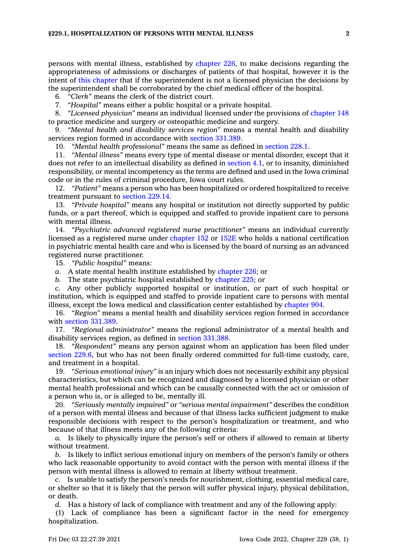persons with mental illness, established by [chapter](https://www.legis.iowa.gov/docs/code//226.pdf) 226, to make decisions regarding the appropriateness of admissions or discharges of patients of that hospital, however it is the intent of this [chapter](https://www.legis.iowa.gov/docs/code//229.pdf) that if the superintendent is not <sup>a</sup> licensed physician the decisions by the superintendent shall be corroborated by the chief medical officer of the hospital.

6. *"Clerk"* means the clerk of the district court.

7. *"Hospital"* means either <sup>a</sup> public hospital or <sup>a</sup> private hospital.

8. *"Licensed physician"* means an individual licensed under the provisions of [chapter](https://www.legis.iowa.gov/docs/code//148.pdf) 148 to practice medicine and surgery or osteopathic medicine and surgery.

9. *"Mental health and disability services region"* means <sup>a</sup> mental health and disability services region formed in accordance with section [331.389](https://www.legis.iowa.gov/docs/code/331.389.pdf).

10. *"Mental health professional"* means the same as defined in [section](https://www.legis.iowa.gov/docs/code/228.1.pdf) 228.1.

11. *"Mental illness"* means every type of mental disease or mental disorder, except that it does not refer to an intellectual disability as defined in [section](https://www.legis.iowa.gov/docs/code/4.1.pdf) 4.1, or to insanity, diminished responsibility, or mental incompetency as the terms are defined and used in the Iowa criminal code or in the rules of criminal procedure, Iowa court rules.

12. *"Patient"* means <sup>a</sup> person who has been hospitalized or ordered hospitalized to receive treatment pursuant to [section](https://www.legis.iowa.gov/docs/code/229.14.pdf) 229.14.

13. *"Private hospital"* means any hospital or institution not directly supported by public funds, or <sup>a</sup> part thereof, which is equipped and staffed to provide inpatient care to persons with mental illness.

14. *"Psychiatric advanced registered nurse practitioner"* means an individual currently licensed as <sup>a</sup> registered nurse under [chapter](https://www.legis.iowa.gov/docs/code//152.pdf) 152 or [152E](https://www.legis.iowa.gov/docs/code//152E.pdf) who holds <sup>a</sup> national certification in psychiatric mental health care and who is licensed by the board of nursing as an advanced registered nurse practitioner.

15. *"Public hospital"* means:

*a.* A state mental health institute established by [chapter](https://www.legis.iowa.gov/docs/code//226.pdf) 226; or

*b.* The state psychiatric hospital established by [chapter](https://www.legis.iowa.gov/docs/code//225.pdf) 225; or

*c.* Any other publicly supported hospital or institution, or part of such hospital or institution, which is equipped and staffed to provide inpatient care to persons with mental illness, except the Iowa medical and classification center established by [chapter](https://www.legis.iowa.gov/docs/code//904.pdf) 904.

16. *"Region"* means <sup>a</sup> mental health and disability services region formed in accordance with section [331.389](https://www.legis.iowa.gov/docs/code/331.389.pdf).

17. *"Regional administrator"* means the regional administrator of <sup>a</sup> mental health and disability services region, as defined in section [331.388](https://www.legis.iowa.gov/docs/code/331.388.pdf).

18. *"Respondent"* means any person against whom an application has been filed under [section](https://www.legis.iowa.gov/docs/code/229.6.pdf) 229.6, but who has not been finally ordered committed for full-time custody, care, and treatment in <sup>a</sup> hospital.

19. *"Serious emotional injury"* is an injury which does not necessarily exhibit any physical characteristics, but which can be recognized and diagnosed by <sup>a</sup> licensed physician or other mental health professional and which can be causally connected with the act or omission of <sup>a</sup> person who is, or is alleged to be, mentally ill.

20. *"Seriously mentally impaired"* or *"serious mental impairment"* describes the condition of <sup>a</sup> person with mental illness and because of that illness lacks sufficient judgment to make responsible decisions with respect to the person's hospitalization or treatment, and who because of that illness meets any of the following criteria:

*a.* Is likely to physically injure the person's self or others if allowed to remain at liberty without treatment.

*b.* Is likely to inflict serious emotional injury on members of the person's family or others who lack reasonable opportunity to avoid contact with the person with mental illness if the person with mental illness is allowed to remain at liberty without treatment.

*c.* Is unable to satisfy the person's needs for nourishment, clothing, essential medical care, or shelter so that it is likely that the person will suffer physical injury, physical debilitation, or death.

*d.* Has <sup>a</sup> history of lack of compliance with treatment and any of the following apply:

(1) Lack of compliance has been <sup>a</sup> significant factor in the need for emergency hospitalization.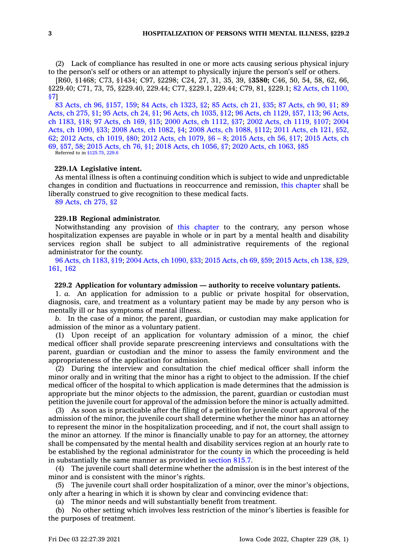(2) Lack of compliance has resulted in one or more acts causing serious physical injury to the person's self or others or an attempt to physically injure the person's self or others.

[R60, §1468; C73, §1434; C97, §2298; C24, 27, 31, 35, 39, §**3580;** C46, 50, 54, 58, 62, 66, §229.40; C71, 73, 75, §229.40, 229.44; C77, §229.1, 229.44; C79, 81, §229.1; 82 Acts, ch [1100,](https://www.legis.iowa.gov/docs/acts/1982/CH1100.pdf) [§7](https://www.legis.iowa.gov/docs/acts/1982/CH1100.pdf)]

83 Acts, ch 96, [§157,](https://www.legis.iowa.gov/docs/acts/1983/CH0096.pdf) 159; 84 Acts, ch [1323,](https://www.legis.iowa.gov/docs/acts/84/CH1323.pdf) §2; 85 [Acts,](https://www.legis.iowa.gov/docs/acts/85/CH0021.pdf) ch 21, §35; 87 [Acts,](https://www.legis.iowa.gov/docs/acts/87/CH0090.pdf) ch 90, §1; [89](https://www.legis.iowa.gov/docs/acts/89/CH0275.pdf) [Acts,](https://www.legis.iowa.gov/docs/acts/89/CH0275.pdf) ch 275, §1; 95 [Acts,](https://www.legis.iowa.gov/docs/acts/95/CH0024.pdf) ch 24, §1; 96 Acts, ch [1035,](https://www.legis.iowa.gov/docs/acts/96/CH1035.pdf) §12; 96 Acts, ch [1129,](https://www.legis.iowa.gov/docs/acts/96/CH1129.pdf) §57, 113; 96 [Acts,](https://www.legis.iowa.gov/docs/acts/96/CH1183.pdf) ch [1183,](https://www.legis.iowa.gov/docs/acts/96/CH1183.pdf) §18; 97 [Acts,](https://www.legis.iowa.gov/docs/acts/97/CH0169.pdf) ch 169, §15; 2000 Acts, ch [1112,](https://www.legis.iowa.gov/docs/acts/2000/CH1112.pdf) §37; 2002 Acts, ch [1119,](https://www.legis.iowa.gov/docs/acts/2002/CH1119.pdf) §107; [2004](https://www.legis.iowa.gov/docs/acts/2004/CH1090.pdf) Acts, ch [1090,](https://www.legis.iowa.gov/docs/acts/2004/CH1090.pdf) §33; 2008 Acts, ch [1082,](https://www.legis.iowa.gov/docs/acts/2008/CH1082.pdf) §4; 2008 Acts, ch [1088,](https://www.legis.iowa.gov/docs/acts/2008/CH1088.pdf) §112; 2011 [Acts,](https://www.legis.iowa.gov/docs/acts/2011/CH0121.pdf) ch 121, §52, [62](https://www.legis.iowa.gov/docs/acts/2011/CH0121.pdf); 2012 Acts, ch [1019,](https://www.legis.iowa.gov/docs/acts/2012/CH1019.pdf) §80; 2012 Acts, ch [1079,](https://www.legis.iowa.gov/docs/acts/2012/CH1079.pdf) §6 – 8; 2015 [Acts,](https://www.legis.iowa.gov/docs/acts/2015/CH0056.pdf) ch 56, §17; 2015 [Acts,](https://www.legis.iowa.gov/docs/acts/2015/CH0069.pdf) ch 69, [§57,](https://www.legis.iowa.gov/docs/acts/2015/CH0069.pdf) 58; 2015 [Acts,](https://www.legis.iowa.gov/docs/acts/2015/CH0076.pdf) ch 76, §1; 2018 Acts, ch [1056,](https://www.legis.iowa.gov/docs/acts/2018/CH1056.pdf) §7; 2020 Acts, ch [1063,](https://www.legis.iowa.gov/docs/acts/2020/CH1063.pdf) §85 Referred to in [§125.75](https://www.legis.iowa.gov/docs/code/125.75.pdf), [229.6](https://www.legis.iowa.gov/docs/code/229.6.pdf)

### **229.1A Legislative intent.**

As mental illness is often <sup>a</sup> continuing condition which is subject to wide and unpredictable changes in condition and fluctuations in reoccurrence and remission, this [chapter](https://www.legis.iowa.gov/docs/code//229.pdf) shall be liberally construed to give recognition to these medical facts.

89 [Acts,](https://www.legis.iowa.gov/docs/acts/1989/CH0275.pdf) ch 275, §2

# **229.1B Regional administrator.**

Notwithstanding any provision of this [chapter](https://www.legis.iowa.gov/docs/code//229.pdf) to the contrary, any person whose hospitalization expenses are payable in whole or in part by <sup>a</sup> mental health and disability services region shall be subject to all administrative requirements of the regional administrator for the county.

96 Acts, ch [1183,](https://www.legis.iowa.gov/docs/acts/1996/CH1183.pdf) §19; 2004 Acts, ch [1090,](https://www.legis.iowa.gov/docs/acts/2004/CH1090.pdf) §33; 2015 [Acts,](https://www.legis.iowa.gov/docs/acts/2015/CH0069.pdf) ch 69, §59; 2015 [Acts,](https://www.legis.iowa.gov/docs/acts/2015/CH0138.pdf) ch 138, §29, [161,](https://www.legis.iowa.gov/docs/acts/2015/CH0138.pdf) 162

# **229.2 Application for voluntary admission — authority to receive voluntary patients.**

1. *a.* An application for admission to <sup>a</sup> public or private hospital for observation, diagnosis, care, and treatment as <sup>a</sup> voluntary patient may be made by any person who is mentally ill or has symptoms of mental illness.

*b.* In the case of <sup>a</sup> minor, the parent, guardian, or custodian may make application for admission of the minor as <sup>a</sup> voluntary patient.

(1) Upon receipt of an application for voluntary admission of <sup>a</sup> minor, the chief medical officer shall provide separate prescreening interviews and consultations with the parent, guardian or custodian and the minor to assess the family environment and the appropriateness of the application for admission.

(2) During the interview and consultation the chief medical officer shall inform the minor orally and in writing that the minor has <sup>a</sup> right to object to the admission. If the chief medical officer of the hospital to which application is made determines that the admission is appropriate but the minor objects to the admission, the parent, guardian or custodian must petition the juvenile court for approval of the admission before the minor is actually admitted.

As soon as is practicable after the filing of a petition for juvenile court approval of the admission of the minor, the juvenile court shall determine whether the minor has an attorney to represent the minor in the hospitalization proceeding, and if not, the court shall assign to the minor an attorney. If the minor is financially unable to pay for an attorney, the attorney shall be compensated by the mental health and disability services region at an hourly rate to be established by the regional administrator for the county in which the proceeding is held in substantially the same manner as provided in [section](https://www.legis.iowa.gov/docs/code/815.7.pdf) 815.7.

(4) The juvenile court shall determine whether the admission is in the best interest of the minor and is consistent with the minor's rights.

(5) The juvenile court shall order hospitalization of <sup>a</sup> minor, over the minor's objections, only after <sup>a</sup> hearing in which it is shown by clear and convincing evidence that:

(a) The minor needs and will substantially benefit from treatment.

(b) No other setting which involves less restriction of the minor's liberties is feasible for the purposes of treatment.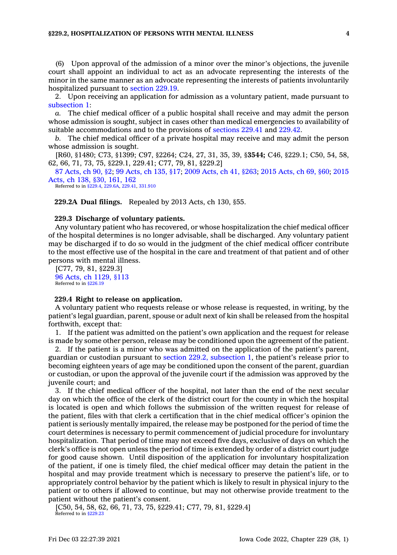### **§229.2, HOSPITALIZATION OF PERSONS WITH MENTAL ILLNESS 4**

(6) Upon approval of the admission of <sup>a</sup> minor over the minor's objections, the juvenile court shall appoint an individual to act as an advocate representing the interests of the minor in the same manner as an advocate representing the interests of patients involuntarily hospitalized pursuant to [section](https://www.legis.iowa.gov/docs/code/229.19.pdf) 229.19.

2. Upon receiving an application for admission as <sup>a</sup> voluntary patient, made pursuant to [subsection](https://www.legis.iowa.gov/docs/code/229.2.pdf) 1:

*a.* The chief medical officer of <sup>a</sup> public hospital shall receive and may admit the person whose admission is sought, subject in cases other than medical emergencies to availability of suitable accommodations and to the provisions of [sections](https://www.legis.iowa.gov/docs/code/229.41.pdf) 229.41 and [229.42](https://www.legis.iowa.gov/docs/code/229.42.pdf).

*b.* The chief medical officer of <sup>a</sup> private hospital may receive and may admit the person whose admission is sought.

[R60, §1480; C73, §1399; C97, §2264; C24, 27, 31, 35, 39, §**3544;** C46, §229.1; C50, 54, 58, 62, 66, 71, 73, 75, §229.1, 229.41; C77, 79, 81, §229.2]

87 [Acts,](https://www.legis.iowa.gov/docs/acts/1987/CH0090.pdf) ch 90, §2; 99 [Acts,](https://www.legis.iowa.gov/docs/acts/99/CH0135.pdf) ch 135, §17; 2009 [Acts,](https://www.legis.iowa.gov/docs/acts/2009/CH0041.pdf) ch 41, §263; 2015 [Acts,](https://www.legis.iowa.gov/docs/acts/2015/CH0069.pdf) ch 69, §60; [2015](https://www.legis.iowa.gov/docs/acts/2015/CH0138.pdf) [Acts,](https://www.legis.iowa.gov/docs/acts/2015/CH0138.pdf) ch 138, §30, 161, 162

Referred to in [§229.4](https://www.legis.iowa.gov/docs/code/229.4.pdf), [229.6A](https://www.legis.iowa.gov/docs/code/229.6A.pdf), [229.41](https://www.legis.iowa.gov/docs/code/229.41.pdf), [331.910](https://www.legis.iowa.gov/docs/code/331.910.pdf)

**229.2A Dual filings.** Repealed by 2013 Acts, ch 130, §55.

# **229.3 Discharge of voluntary patients.**

Any voluntary patient who has recovered, or whose hospitalization the chief medical officer of the hospital determines is no longer advisable, shall be discharged. Any voluntary patient may be discharged if to do so would in the judgment of the chief medical officer contribute to the most effective use of the hospital in the care and treatment of that patient and of other persons with mental illness.

[C77, 79, 81, §229.3] 96 Acts, ch [1129,](https://www.legis.iowa.gov/docs/acts/1996/CH1129.pdf) §113 Referred to in [§226.19](https://www.legis.iowa.gov/docs/code/226.19.pdf)

### **229.4 Right to release on application.**

A voluntary patient who requests release or whose release is requested, in writing, by the patient's legal guardian, parent, spouse or adult next of kin shall be released from the hospital forthwith, except that:

1. If the patient was admitted on the patient's own application and the request for release is made by some other person, release may be conditioned upon the agreement of the patient.

2. If the patient is <sup>a</sup> minor who was admitted on the application of the patient's parent, guardian or custodian pursuant to section 229.2, [subsection](https://www.legis.iowa.gov/docs/code/229.2.pdf) 1, the patient's release prior to becoming eighteen years of age may be conditioned upon the consent of the parent, guardian or custodian, or upon the approval of the juvenile court if the admission was approved by the juvenile court; and

3. If the chief medical officer of the hospital, not later than the end of the next secular day on which the office of the clerk of the district court for the county in which the hospital is located is open and which follows the submission of the written request for release of the patient, files with that clerk <sup>a</sup> certification that in the chief medical officer's opinion the patient is seriously mentally impaired, the release may be postponed for the period of time the court determines is necessary to permit commencement of judicial procedure for involuntary hospitalization. That period of time may not exceed five days, exclusive of days on which the clerk's office is not open unless the period of time is extended by order of <sup>a</sup> district court judge for good cause shown. Until disposition of the application for involuntary hospitalization of the patient, if one is timely filed, the chief medical officer may detain the patient in the hospital and may provide treatment which is necessary to preserve the patient's life, or to appropriately control behavior by the patient which is likely to result in physical injury to the patient or to others if allowed to continue, but may not otherwise provide treatment to the patient without the patient's consent.

[C50, 54, 58, 62, 66, 71, 73, 75, §229.41; C77, 79, 81, §229.4] Referred to in [§229.23](https://www.legis.iowa.gov/docs/code/229.23.pdf)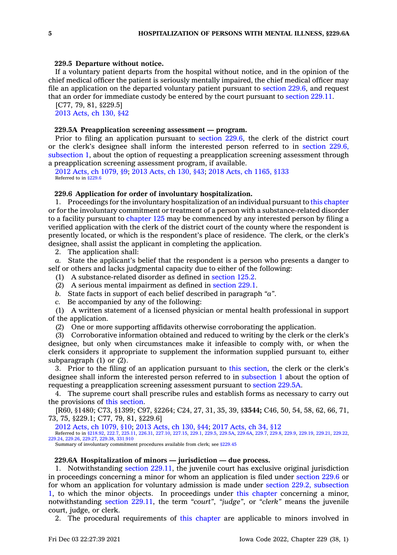### **229.5 Departure without notice.**

If <sup>a</sup> voluntary patient departs from the hospital without notice, and in the opinion of the chief medical officer the patient is seriously mentally impaired, the chief medical officer may file an application on the departed voluntary patient pursuant to [section](https://www.legis.iowa.gov/docs/code/229.6.pdf) 229.6, and request that an order for immediate custody be entered by the court pursuant to [section](https://www.legis.iowa.gov/docs/code/229.11.pdf) 229.11.

[C77, 79, 81, §229.5] 2013 [Acts,](https://www.legis.iowa.gov/docs/acts/2013/CH0130.pdf) ch 130, §42

# **229.5A Preapplication screening assessment — program.**

Prior to filing an application pursuant to [section](https://www.legis.iowa.gov/docs/code/229.6.pdf) 229.6, the clerk of the district court or the clerk's designee shall inform the interested person referred to in [section](https://www.legis.iowa.gov/docs/code/229.6.pdf) 229.6, [subsection](https://www.legis.iowa.gov/docs/code/229.6.pdf) 1, about the option of requesting <sup>a</sup> preapplication screening assessment through <sup>a</sup> preapplication screening assessment program, if available.

2012 Acts, ch [1079,](https://www.legis.iowa.gov/docs/acts/2012/CH1079.pdf) §9; 2013 [Acts,](https://www.legis.iowa.gov/docs/acts/2013/CH0130.pdf) ch 130, §43; 2018 Acts, ch [1165,](https://www.legis.iowa.gov/docs/acts/2018/CH1165.pdf) §133 Referred to in [§229.6](https://www.legis.iowa.gov/docs/code/229.6.pdf)

### **229.6 Application for order of involuntary hospitalization.**

1. Proceedings for the involuntary hospitalization of an individual pursuant to this [chapter](https://www.legis.iowa.gov/docs/code//229.pdf) or for the involuntary commitment or treatment of <sup>a</sup> person with <sup>a</sup> substance-related disorder to <sup>a</sup> facility pursuant to [chapter](https://www.legis.iowa.gov/docs/code//125.pdf) 125 may be commenced by any interested person by filing <sup>a</sup> verified application with the clerk of the district court of the county where the respondent is presently located, or which is the respondent's place of residence. The clerk, or the clerk's designee, shall assist the applicant in completing the application.

2. The application shall:

*a.* State the applicant's belief that the respondent is <sup>a</sup> person who presents <sup>a</sup> danger to self or others and lacks judgmental capacity due to either of the following:

(1) A substance-related disorder as defined in [section](https://www.legis.iowa.gov/docs/code/125.2.pdf) 125.2.

(2) A serious mental impairment as defined in [section](https://www.legis.iowa.gov/docs/code/229.1.pdf) 229.1.

*b.* State facts in support of each belief described in paragraph *"a"*.

*c.* Be accompanied by any of the following:

(1) A written statement of <sup>a</sup> licensed physician or mental health professional in support of the application.

(2) One or more supporting affidavits otherwise corroborating the application.

(3) Corroborative information obtained and reduced to writing by the clerk or the clerk's designee, but only when circumstances make it infeasible to comply with, or when the clerk considers it appropriate to supplement the information supplied pursuant to, either subparagraph (1) or (2).

3. Prior to the filing of an application pursuant to this [section](https://www.legis.iowa.gov/docs/code/229.6.pdf), the clerk or the clerk's designee shall inform the interested person referred to in [subsection](https://www.legis.iowa.gov/docs/code/229.6.pdf) 1 about the option of requesting <sup>a</sup> preapplication screening assessment pursuant to [section](https://www.legis.iowa.gov/docs/code/229.5A.pdf) 229.5A.

4. The supreme court shall prescribe rules and establish forms as necessary to carry out the provisions of this [section](https://www.legis.iowa.gov/docs/code/229.6.pdf).

[R60, §1480; C73, §1399; C97, §2264; C24, 27, 31, 35, 39, §**3544;** C46, 50, 54, 58, 62, 66, 71, 73, 75, §229.1; C77, 79, 81, §229.6]

2012 Acts, ch [1079,](https://www.legis.iowa.gov/docs/acts/2012/CH1079.pdf) §10; 2013 [Acts,](https://www.legis.iowa.gov/docs/acts/2013/CH0130.pdf) ch 130, §44; 2017 [Acts,](https://www.legis.iowa.gov/docs/acts/2017/CH0034.pdf) ch 34, §12 Referred to in [§218.92](https://www.legis.iowa.gov/docs/code/218.92.pdf), [222.7](https://www.legis.iowa.gov/docs/code/222.7.pdf), [225.11,](https://www.legis.iowa.gov/docs/code/225.11.pdf) [226.31](https://www.legis.iowa.gov/docs/code/226.31.pdf), [227.10](https://www.legis.iowa.gov/docs/code/227.10.pdf), [227.15](https://www.legis.iowa.gov/docs/code/227.15.pdf), [229.1,](https://www.legis.iowa.gov/docs/code/229.1.pdf) [229.5](https://www.legis.iowa.gov/docs/code/229.5.pdf), [229.5A](https://www.legis.iowa.gov/docs/code/229.5A.pdf), [229.6A](https://www.legis.iowa.gov/docs/code/229.6A.pdf), [229.7](https://www.legis.iowa.gov/docs/code/229.7.pdf), [229.8](https://www.legis.iowa.gov/docs/code/229.8.pdf), [229.9](https://www.legis.iowa.gov/docs/code/229.9.pdf), [229.19](https://www.legis.iowa.gov/docs/code/229.19.pdf), [229.21,](https://www.legis.iowa.gov/docs/code/229.21.pdf) [229.22](https://www.legis.iowa.gov/docs/code/229.22.pdf), [229.24](https://www.legis.iowa.gov/docs/code/229.24.pdf), [229.26](https://www.legis.iowa.gov/docs/code/229.26.pdf), [229.27](https://www.legis.iowa.gov/docs/code/229.27.pdf), [229.38](https://www.legis.iowa.gov/docs/code/229.38.pdf), [331.910](https://www.legis.iowa.gov/docs/code/331.910.pdf)

Summary of involuntary commitment procedures available from clerk; see [§229.45](https://www.legis.iowa.gov/docs/code/229.45.pdf)

### **229.6A Hospitalization of minors — jurisdiction — due process.**

1. Notwithstanding section [229.11](https://www.legis.iowa.gov/docs/code/229.11.pdf), the juvenile court has exclusive original jurisdiction in proceedings concerning <sup>a</sup> minor for whom an application is filed under [section](https://www.legis.iowa.gov/docs/code/229.6.pdf) 229.6 or for whom an application for voluntary admission is made under section 229.2, [subsection](https://www.legis.iowa.gov/docs/code/229.2.pdf) [1](https://www.legis.iowa.gov/docs/code/229.2.pdf), to which the minor objects. In proceedings under this [chapter](https://www.legis.iowa.gov/docs/code//229.pdf) concerning <sup>a</sup> minor, notwithstanding section [229.11](https://www.legis.iowa.gov/docs/code/229.11.pdf), the term *"court"*, *"judge"*, or *"clerk"* means the juvenile court, judge, or clerk.

2. The procedural requirements of this [chapter](https://www.legis.iowa.gov/docs/code//229.pdf) are applicable to minors involved in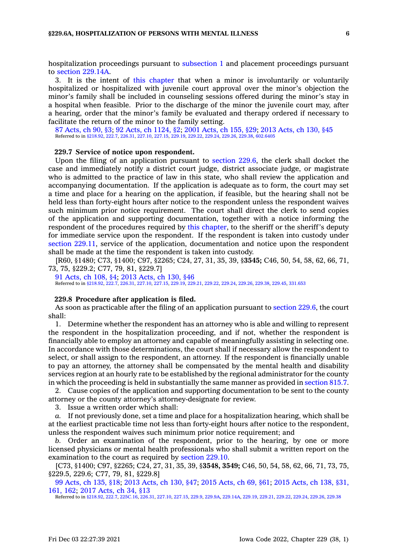hospitalization proceedings pursuant to [subsection](https://www.legis.iowa.gov/docs/code/229.6A.pdf) 1 and placement proceedings pursuant to section [229.14A](https://www.legis.iowa.gov/docs/code/229.14A.pdf).

3. It is the intent of this [chapter](https://www.legis.iowa.gov/docs/code//229.pdf) that when <sup>a</sup> minor is involuntarily or voluntarily hospitalized or hospitalized with juvenile court approval over the minor's objection the minor's family shall be included in counseling sessions offered during the minor's stay in <sup>a</sup> hospital when feasible. Prior to the discharge of the minor the juvenile court may, after <sup>a</sup> hearing, order that the minor's family be evaluated and therapy ordered if necessary to facilitate the return of the minor to the family setting.

87 [Acts,](https://www.legis.iowa.gov/docs/acts/1987/CH0090.pdf) ch 90, §3; 92 Acts, ch [1124,](https://www.legis.iowa.gov/docs/acts/92/CH1124.pdf) §2; 2001 [Acts,](https://www.legis.iowa.gov/docs/acts/2001/CH0155.pdf) ch 155, §29; 2013 [Acts,](https://www.legis.iowa.gov/docs/acts/2013/CH0130.pdf) ch 130, §45 Referred to in [§218.92](https://www.legis.iowa.gov/docs/code/218.92.pdf), [222.7](https://www.legis.iowa.gov/docs/code/222.7.pdf), [226.31](https://www.legis.iowa.gov/docs/code/226.31.pdf), [227.10](https://www.legis.iowa.gov/docs/code/227.10.pdf), [227.15,](https://www.legis.iowa.gov/docs/code/227.15.pdf) [229.19](https://www.legis.iowa.gov/docs/code/229.19.pdf), [229.22](https://www.legis.iowa.gov/docs/code/229.22.pdf), [229.24](https://www.legis.iowa.gov/docs/code/229.24.pdf), [229.26,](https://www.legis.iowa.gov/docs/code/229.26.pdf) [229.38](https://www.legis.iowa.gov/docs/code/229.38.pdf), [602.6405](https://www.legis.iowa.gov/docs/code/602.6405.pdf)

# **229.7 Service of notice upon respondent.**

Upon the filing of an application pursuant to [section](https://www.legis.iowa.gov/docs/code/229.6.pdf) 229.6, the clerk shall docket the case and immediately notify <sup>a</sup> district court judge, district associate judge, or magistrate who is admitted to the practice of law in this state, who shall review the application and accompanying documentation. If the application is adequate as to form, the court may set <sup>a</sup> time and place for <sup>a</sup> hearing on the application, if feasible, but the hearing shall not be held less than forty-eight hours after notice to the respondent unless the respondent waives such minimum prior notice requirement. The court shall direct the clerk to send copies of the application and supporting documentation, together with <sup>a</sup> notice informing the respondent of the procedures required by this [chapter](https://www.legis.iowa.gov/docs/code//229.pdf), to the sheriff or the sheriff's deputy for immediate service upon the respondent. If the respondent is taken into custody under section [229.11](https://www.legis.iowa.gov/docs/code/229.11.pdf), service of the application, documentation and notice upon the respondent shall be made at the time the respondent is taken into custody.

[R60, §1480; C73, §1400; C97, §2265; C24, 27, 31, 35, 39, §**3545;** C46, 50, 54, 58, 62, 66, 71, 73, 75, §229.2; C77, 79, 81, §229.7]

91 [Acts,](https://www.legis.iowa.gov/docs/acts/1991/CH0108.pdf) ch 108, §4; 2013 [Acts,](https://www.legis.iowa.gov/docs/acts/2013/CH0130.pdf) ch 130, §46 Referred to in [§218.92](https://www.legis.iowa.gov/docs/code/218.92.pdf), [222.7](https://www.legis.iowa.gov/docs/code/222.7.pdf), [226.31](https://www.legis.iowa.gov/docs/code/226.31.pdf), [227.10](https://www.legis.iowa.gov/docs/code/227.10.pdf), [227.15](https://www.legis.iowa.gov/docs/code/227.15.pdf), [229.19](https://www.legis.iowa.gov/docs/code/229.19.pdf), [229.21](https://www.legis.iowa.gov/docs/code/229.21.pdf), [229.22](https://www.legis.iowa.gov/docs/code/229.22.pdf), [229.24](https://www.legis.iowa.gov/docs/code/229.24.pdf), [229.26](https://www.legis.iowa.gov/docs/code/229.26.pdf), [229.38](https://www.legis.iowa.gov/docs/code/229.38.pdf), [229.45,](https://www.legis.iowa.gov/docs/code/229.45.pdf) [331.653](https://www.legis.iowa.gov/docs/code/331.653.pdf)

### **229.8 Procedure after application is filed.**

As soon as practicable after the filing of an application pursuant to [section](https://www.legis.iowa.gov/docs/code/229.6.pdf) 229.6, the court shall:

1. Determine whether the respondent has an attorney who is able and willing to represent the respondent in the hospitalization proceeding, and if not, whether the respondent is financially able to employ an attorney and capable of meaningfully assisting in selecting one. In accordance with those determinations, the court shall if necessary allow the respondent to select, or shall assign to the respondent, an attorney. If the respondent is financially unable to pay an attorney, the attorney shall be compensated by the mental health and disability services region at an hourly rate to be established by the regional administrator for the county in which the proceeding is held in substantially the same manner as provided in [section](https://www.legis.iowa.gov/docs/code/815.7.pdf) 815.7.

2. Cause copies of the application and supporting documentation to be sent to the county attorney or the county attorney's attorney-designate for review.

3. Issue <sup>a</sup> written order which shall:

*a.* If not previously done, set <sup>a</sup> time and place for <sup>a</sup> hospitalization hearing, which shall be at the earliest practicable time not less than forty-eight hours after notice to the respondent, unless the respondent waives such minimum prior notice requirement; and

*b.* Order an examination of the respondent, prior to the hearing, by one or more licensed physicians or mental health professionals who shall submit <sup>a</sup> written report on the examination to the court as required by [section](https://www.legis.iowa.gov/docs/code/229.10.pdf) 229.10.

[C73, §1400; C97, §2265; C24, 27, 31, 35, 39, §**3548, 3549;** C46, 50, 54, 58, 62, 66, 71, 73, 75, §229.5, 229.6; C77, 79, 81, §229.8]

99 [Acts,](https://www.legis.iowa.gov/docs/acts/1999/CH0135.pdf) ch 135, §18; 2013 [Acts,](https://www.legis.iowa.gov/docs/acts/2013/CH0130.pdf) ch 130, §47; 2015 [Acts,](https://www.legis.iowa.gov/docs/acts/2015/CH0069.pdf) ch 69, §61; 2015 [Acts,](https://www.legis.iowa.gov/docs/acts/2015/CH0138.pdf) ch 138, §31, [161,](https://www.legis.iowa.gov/docs/acts/2015/CH0138.pdf) 162; 2017 [Acts,](https://www.legis.iowa.gov/docs/acts/2017/CH0034.pdf) ch 34, §13

Referred to in [§218.92](https://www.legis.iowa.gov/docs/code/218.92.pdf), [222.7](https://www.legis.iowa.gov/docs/code/222.7.pdf), [225C.16](https://www.legis.iowa.gov/docs/code/225C.16.pdf), [226.31](https://www.legis.iowa.gov/docs/code/226.31.pdf), [227.10](https://www.legis.iowa.gov/docs/code/227.10.pdf), [227.15](https://www.legis.iowa.gov/docs/code/227.15.pdf), [229.9](https://www.legis.iowa.gov/docs/code/229.9.pdf), [229.9A](https://www.legis.iowa.gov/docs/code/229.9A.pdf), [229.14A](https://www.legis.iowa.gov/docs/code/229.14A.pdf), [229.19](https://www.legis.iowa.gov/docs/code/229.19.pdf), [229.21](https://www.legis.iowa.gov/docs/code/229.21.pdf), [229.22](https://www.legis.iowa.gov/docs/code/229.22.pdf), [229.24,](https://www.legis.iowa.gov/docs/code/229.24.pdf) [229.26](https://www.legis.iowa.gov/docs/code/229.26.pdf), [229.38](https://www.legis.iowa.gov/docs/code/229.38.pdf)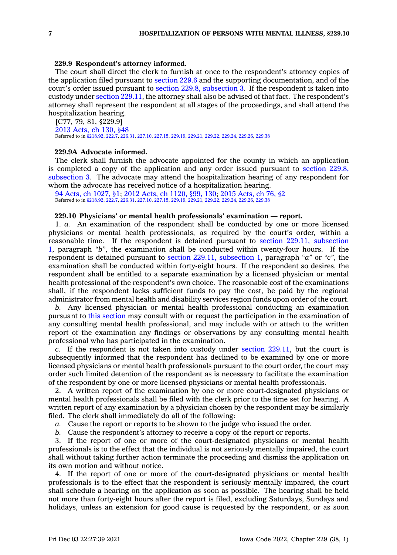### **229.9 Respondent's attorney informed.**

The court shall direct the clerk to furnish at once to the respondent's attorney copies of the application filed pursuant to [section](https://www.legis.iowa.gov/docs/code/229.6.pdf) 229.6 and the supporting documentation, and of the court's order issued pursuant to section 229.8, [subsection](https://www.legis.iowa.gov/docs/code/229.8.pdf) 3. If the respondent is taken into custody under section [229.11](https://www.legis.iowa.gov/docs/code/229.11.pdf), the attorney shall also be advised of that fact. The respondent's attorney shall represent the respondent at all stages of the proceedings, and shall attend the hospitalization hearing.

[C77, 79, 81, §229.9] 2013 [Acts,](https://www.legis.iowa.gov/docs/acts/2013/CH0130.pdf) ch 130, §48 Referred to in [§218.92](https://www.legis.iowa.gov/docs/code/218.92.pdf), [222.7](https://www.legis.iowa.gov/docs/code/222.7.pdf), [226.31](https://www.legis.iowa.gov/docs/code/226.31.pdf), [227.10](https://www.legis.iowa.gov/docs/code/227.10.pdf), [227.15](https://www.legis.iowa.gov/docs/code/227.15.pdf), [229.19](https://www.legis.iowa.gov/docs/code/229.19.pdf), [229.21](https://www.legis.iowa.gov/docs/code/229.21.pdf), [229.22](https://www.legis.iowa.gov/docs/code/229.22.pdf), [229.24](https://www.legis.iowa.gov/docs/code/229.24.pdf), [229.26](https://www.legis.iowa.gov/docs/code/229.26.pdf), [229.38](https://www.legis.iowa.gov/docs/code/229.38.pdf)

# **229.9A Advocate informed.**

The clerk shall furnish the advocate appointed for the county in which an application is completed <sup>a</sup> copy of the application and any order issued pursuant to [section](https://www.legis.iowa.gov/docs/code/229.8.pdf) 229.8, [subsection](https://www.legis.iowa.gov/docs/code/229.8.pdf) 3. The advocate may attend the hospitalization hearing of any respondent for whom the advocate has received notice of <sup>a</sup> hospitalization hearing.

94 Acts, ch [1027,](https://www.legis.iowa.gov/docs/acts/1994/CH1027.pdf) §1; 2012 Acts, ch [1120,](https://www.legis.iowa.gov/docs/acts/2012/CH1120.pdf) §99, 130; 2015 [Acts,](https://www.legis.iowa.gov/docs/acts/2015/CH0076.pdf) ch 76, §2 Referred to in [§218.92](https://www.legis.iowa.gov/docs/code/218.92.pdf), [222.7](https://www.legis.iowa.gov/docs/code/222.7.pdf), [226.31](https://www.legis.iowa.gov/docs/code/226.31.pdf), [227.10](https://www.legis.iowa.gov/docs/code/227.10.pdf), [227.15](https://www.legis.iowa.gov/docs/code/227.15.pdf), [229.19](https://www.legis.iowa.gov/docs/code/229.19.pdf), [229.21](https://www.legis.iowa.gov/docs/code/229.21.pdf), [229.22](https://www.legis.iowa.gov/docs/code/229.22.pdf), [229.24](https://www.legis.iowa.gov/docs/code/229.24.pdf), [229.26](https://www.legis.iowa.gov/docs/code/229.26.pdf), [229.38](https://www.legis.iowa.gov/docs/code/229.38.pdf)

# **229.10 Physicians' or mental health professionals' examination — report.**

1. *a.* An examination of the respondent shall be conducted by one or more licensed physicians or mental health professionals, as required by the court's order, within <sup>a</sup> reasonable time. If the respondent is detained pursuant to section 229.11, [subsection](https://www.legis.iowa.gov/docs/code/229.11.pdf) [1](https://www.legis.iowa.gov/docs/code/229.11.pdf), paragraph *"b"*, the examination shall be conducted within twenty-four hours. If the respondent is detained pursuant to section 229.11, [subsection](https://www.legis.iowa.gov/docs/code/229.11.pdf) 1, paragraph *"a"* or *"c"*, the examination shall be conducted within forty-eight hours. If the respondent so desires, the respondent shall be entitled to <sup>a</sup> separate examination by <sup>a</sup> licensed physician or mental health professional of the respondent's own choice. The reasonable cost of the examinations shall, if the respondent lacks sufficient funds to pay the cost, be paid by the regional administrator from mental health and disability services region funds upon order of the court.

*b.* Any licensed physician or mental health professional conducting an examination pursuant to this [section](https://www.legis.iowa.gov/docs/code/229.10.pdf) may consult with or request the participation in the examination of any consulting mental health professional, and may include with or attach to the written report of the examination any findings or observations by any consulting mental health professional who has participated in the examination.

*c.* If the respondent is not taken into custody under section [229.11](https://www.legis.iowa.gov/docs/code/229.11.pdf), but the court is subsequently informed that the respondent has declined to be examined by one or more licensed physicians or mental health professionals pursuant to the court order, the court may order such limited detention of the respondent as is necessary to facilitate the examination of the respondent by one or more licensed physicians or mental health professionals.

2. A written report of the examination by one or more court-designated physicians or mental health professionals shall be filed with the clerk prior to the time set for hearing. A written report of any examination by <sup>a</sup> physician chosen by the respondent may be similarly filed. The clerk shall immediately do all of the following:

*a.* Cause the report or reports to be shown to the judge who issued the order.

*b.* Cause the respondent's attorney to receive <sup>a</sup> copy of the report or reports.

3. If the report of one or more of the court-designated physicians or mental health professionals is to the effect that the individual is not seriously mentally impaired, the court shall without taking further action terminate the proceeding and dismiss the application on its own motion and without notice.

4. If the report of one or more of the court-designated physicians or mental health professionals is to the effect that the respondent is seriously mentally impaired, the court shall schedule <sup>a</sup> hearing on the application as soon as possible. The hearing shall be held not more than forty-eight hours after the report is filed, excluding Saturdays, Sundays and holidays, unless an extension for good cause is requested by the respondent, or as soon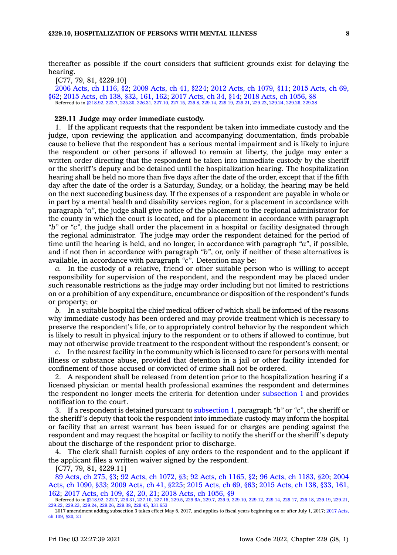thereafter as possible if the court considers that sufficient grounds exist for delaying the hearing.

[C77, 79, 81, §229.10]

2006 Acts, ch [1116,](https://www.legis.iowa.gov/docs/acts/2006/CH1116.pdf) §2; 2009 [Acts,](https://www.legis.iowa.gov/docs/acts/2009/CH0041.pdf) ch 41, §224; 2012 Acts, ch [1079,](https://www.legis.iowa.gov/docs/acts/2012/CH1079.pdf) §11; 2015 [Acts,](https://www.legis.iowa.gov/docs/acts/2015/CH0069.pdf) ch 69, [§62](https://www.legis.iowa.gov/docs/acts/2015/CH0069.pdf); 2015 [Acts,](https://www.legis.iowa.gov/docs/acts/2015/CH0138.pdf) ch 138, §32, 161, 162; 2017 [Acts,](https://www.legis.iowa.gov/docs/acts/2017/CH0034.pdf) ch 34, §14; 2018 Acts, ch [1056,](https://www.legis.iowa.gov/docs/acts/2018/CH1056.pdf) §8 Referred to in [§218.92](https://www.legis.iowa.gov/docs/code/218.92.pdf), [222.7,](https://www.legis.iowa.gov/docs/code/222.7.pdf) [225.30](https://www.legis.iowa.gov/docs/code/225.30.pdf), [226.31](https://www.legis.iowa.gov/docs/code/226.31.pdf), [227.10](https://www.legis.iowa.gov/docs/code/227.10.pdf), [227.15](https://www.legis.iowa.gov/docs/code/227.15.pdf), [229.8](https://www.legis.iowa.gov/docs/code/229.8.pdf), [229.14](https://www.legis.iowa.gov/docs/code/229.14.pdf), [229.19](https://www.legis.iowa.gov/docs/code/229.19.pdf), [229.21,](https://www.legis.iowa.gov/docs/code/229.21.pdf) [229.22](https://www.legis.iowa.gov/docs/code/229.22.pdf), [229.24](https://www.legis.iowa.gov/docs/code/229.24.pdf), [229.26](https://www.legis.iowa.gov/docs/code/229.26.pdf), [229.38](https://www.legis.iowa.gov/docs/code/229.38.pdf)

#### **229.11 Judge may order immediate custody.**

1. If the applicant requests that the respondent be taken into immediate custody and the judge, upon reviewing the application and accompanying documentation, finds probable cause to believe that the respondent has <sup>a</sup> serious mental impairment and is likely to injure the respondent or other persons if allowed to remain at liberty, the judge may enter <sup>a</sup> written order directing that the respondent be taken into immediate custody by the sheriff or the sheriff's deputy and be detained until the hospitalization hearing. The hospitalization hearing shall be held no more than five days after the date of the order, except that if the fifth day after the date of the order is <sup>a</sup> Saturday, Sunday, or <sup>a</sup> holiday, the hearing may be held on the next succeeding business day. If the expenses of <sup>a</sup> respondent are payable in whole or in part by <sup>a</sup> mental health and disability services region, for <sup>a</sup> placement in accordance with paragraph *"a"*, the judge shall give notice of the placement to the regional administrator for the county in which the court is located, and for <sup>a</sup> placement in accordance with paragraph *"b"* or *"c"*, the judge shall order the placement in <sup>a</sup> hospital or facility designated through the regional administrator. The judge may order the respondent detained for the period of time until the hearing is held, and no longer, in accordance with paragraph *"a"*, if possible, and if not then in accordance with paragraph *"b"*, or, only if neither of these alternatives is available, in accordance with paragraph *"c"*. Detention may be:

*a.* In the custody of <sup>a</sup> relative, friend or other suitable person who is willing to accept responsibility for supervision of the respondent, and the respondent may be placed under such reasonable restrictions as the judge may order including but not limited to restrictions on or <sup>a</sup> prohibition of any expenditure, encumbrance or disposition of the respondent's funds or property; or

*b.* In <sup>a</sup> suitable hospital the chief medical officer of which shall be informed of the reasons why immediate custody has been ordered and may provide treatment which is necessary to preserve the respondent's life, or to appropriately control behavior by the respondent which is likely to result in physical injury to the respondent or to others if allowed to continue, but may not otherwise provide treatment to the respondent without the respondent's consent; or

*c.* In the nearest facility in the community which is licensed to care for persons with mental illness or substance abuse, provided that detention in <sup>a</sup> jail or other facility intended for confinement of those accused or convicted of crime shall not be ordered.

2. A respondent shall be released from detention prior to the hospitalization hearing if <sup>a</sup> licensed physician or mental health professional examines the respondent and determines the respondent no longer meets the criteria for detention under [subsection](https://www.legis.iowa.gov/docs/code/229.11.pdf) 1 and provides notification to the court.

3. If <sup>a</sup> respondent is detained pursuant to [subsection](https://www.legis.iowa.gov/docs/code/229.11.pdf) 1, paragraph *"b"* or *"c"*, the sheriff or the sheriff's deputy that took the respondent into immediate custody may inform the hospital or facility that an arrest warrant has been issued for or charges are pending against the respondent and may request the hospital or facility to notify the sheriff or the sheriff's deputy about the discharge of the respondent prior to discharge.

4. The clerk shall furnish copies of any orders to the respondent and to the applicant if the applicant files <sup>a</sup> written waiver signed by the respondent.

[C77, 79, 81, §229.11]

89 [Acts,](https://www.legis.iowa.gov/docs/acts/1989/CH0275.pdf) ch 275, §3; 92 Acts, ch [1072,](https://www.legis.iowa.gov/docs/acts/92/CH1072.pdf) §3; 92 Acts, ch [1165,](https://www.legis.iowa.gov/docs/acts/92/CH1165.pdf) §2; 96 Acts, ch [1183,](https://www.legis.iowa.gov/docs/acts/96/CH1183.pdf) §20; [2004](https://www.legis.iowa.gov/docs/acts/2004/CH1090.pdf) Acts, ch [1090,](https://www.legis.iowa.gov/docs/acts/2004/CH1090.pdf) §33; 2009 [Acts,](https://www.legis.iowa.gov/docs/acts/2009/CH0041.pdf) ch 41, §225; 2015 [Acts,](https://www.legis.iowa.gov/docs/acts/2015/CH0069.pdf) ch 69, §63; 2015 [Acts,](https://www.legis.iowa.gov/docs/acts/2015/CH0138.pdf) ch 138, §33, 161, [162](https://www.legis.iowa.gov/docs/acts/2015/CH0138.pdf); 2017 [Acts,](https://www.legis.iowa.gov/docs/acts/2017/CH0109.pdf) ch 109, §2, 20, 21; 2018 Acts, ch [1056,](https://www.legis.iowa.gov/docs/acts/2018/CH1056.pdf) §9 Referred to in [§218.92](https://www.legis.iowa.gov/docs/code/218.92.pdf), [222.7](https://www.legis.iowa.gov/docs/code/222.7.pdf), [226.31](https://www.legis.iowa.gov/docs/code/226.31.pdf), [227.10](https://www.legis.iowa.gov/docs/code/227.10.pdf), [227.15,](https://www.legis.iowa.gov/docs/code/227.15.pdf) [229.5](https://www.legis.iowa.gov/docs/code/229.5.pdf), [229.6A](https://www.legis.iowa.gov/docs/code/229.6A.pdf), [229.7,](https://www.legis.iowa.gov/docs/code/229.7.pdf) [229.9](https://www.legis.iowa.gov/docs/code/229.9.pdf), [229.10](https://www.legis.iowa.gov/docs/code/229.10.pdf), [229.12](https://www.legis.iowa.gov/docs/code/229.12.pdf), [229.14](https://www.legis.iowa.gov/docs/code/229.14.pdf), [229.17](https://www.legis.iowa.gov/docs/code/229.17.pdf), [229.18](https://www.legis.iowa.gov/docs/code/229.18.pdf), [229.19](https://www.legis.iowa.gov/docs/code/229.19.pdf), [229.21](https://www.legis.iowa.gov/docs/code/229.21.pdf),

[<sup>229.22</sup>](https://www.legis.iowa.gov/docs/code/229.22.pdf), [229.23](https://www.legis.iowa.gov/docs/code/229.23.pdf), [229.24](https://www.legis.iowa.gov/docs/code/229.24.pdf), [229.26](https://www.legis.iowa.gov/docs/code/229.26.pdf), [229.38](https://www.legis.iowa.gov/docs/code/229.38.pdf), [229.45,](https://www.legis.iowa.gov/docs/code/229.45.pdf) [331.653](https://www.legis.iowa.gov/docs/code/331.653.pdf)

<sup>2017</sup> amendment adding subsection 3 takes effect May 5, 2017, and applies to fiscal years beginning on or after July 1, 2017; 2017 [Acts,](https://www.legis.iowa.gov/docs/acts/2017/CH0109.pdf) ch 109, [§20,](https://www.legis.iowa.gov/docs/acts/2017/CH0109.pdf) 21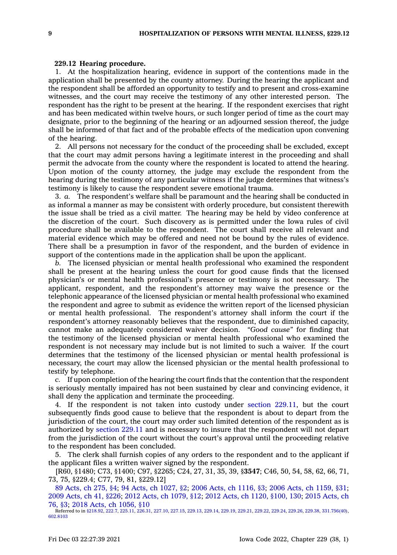# **229.12 Hearing procedure.**

1. At the hospitalization hearing, evidence in support of the contentions made in the application shall be presented by the county attorney. During the hearing the applicant and the respondent shall be afforded an opportunity to testify and to present and cross-examine witnesses, and the court may receive the testimony of any other interested person. The respondent has the right to be present at the hearing. If the respondent exercises that right and has been medicated within twelve hours, or such longer period of time as the court may designate, prior to the beginning of the hearing or an adjourned session thereof, the judge shall be informed of that fact and of the probable effects of the medication upon convening of the hearing.

2. All persons not necessary for the conduct of the proceeding shall be excluded, except that the court may admit persons having <sup>a</sup> legitimate interest in the proceeding and shall permit the advocate from the county where the respondent is located to attend the hearing. Upon motion of the county attorney, the judge may exclude the respondent from the hearing during the testimony of any particular witness if the judge determines that witness's testimony is likely to cause the respondent severe emotional trauma.

3. *a.* The respondent's welfare shall be paramount and the hearing shall be conducted in as informal <sup>a</sup> manner as may be consistent with orderly procedure, but consistent therewith the issue shall be tried as <sup>a</sup> civil matter. The hearing may be held by video conference at the discretion of the court. Such discovery as is permitted under the Iowa rules of civil procedure shall be available to the respondent. The court shall receive all relevant and material evidence which may be offered and need not be bound by the rules of evidence. There shall be <sup>a</sup> presumption in favor of the respondent, and the burden of evidence in support of the contentions made in the application shall be upon the applicant.

*b.* The licensed physician or mental health professional who examined the respondent shall be present at the hearing unless the court for good cause finds that the licensed physician's or mental health professional's presence or testimony is not necessary. The applicant, respondent, and the respondent's attorney may waive the presence or the telephonic appearance of the licensed physician or mental health professional who examined the respondent and agree to submit as evidence the written report of the licensed physician or mental health professional. The respondent's attorney shall inform the court if the respondent's attorney reasonably believes that the respondent, due to diminished capacity, cannot make an adequately considered waiver decision. *"Good cause"* for finding that the testimony of the licensed physician or mental health professional who examined the respondent is not necessary may include but is not limited to such <sup>a</sup> waiver. If the court determines that the testimony of the licensed physician or mental health professional is necessary, the court may allow the licensed physician or the mental health professional to testify by telephone.

*c.* If upon completion of the hearing the court finds that the contention that the respondent is seriously mentally impaired has not been sustained by clear and convincing evidence, it shall deny the application and terminate the proceeding.

4. If the respondent is not taken into custody under section [229.11](https://www.legis.iowa.gov/docs/code/229.11.pdf), but the court subsequently finds good cause to believe that the respondent is about to depart from the jurisdiction of the court, the court may order such limited detention of the respondent as is authorized by [section](https://www.legis.iowa.gov/docs/code/229.11.pdf) 229.11 and is necessary to insure that the respondent will not depart from the jurisdiction of the court without the court's approval until the proceeding relative to the respondent has been concluded.

5. The clerk shall furnish copies of any orders to the respondent and to the applicant if the applicant files <sup>a</sup> written waiver signed by the respondent.

[R60, §1480; C73, §1400; C97, §2265; C24, 27, 31, 35, 39, §**3547**; C46, 50, 54, 58, 62, 66, 71, 73, 75, §229.4; C77, 79, 81, §229.12]

89 [Acts,](https://www.legis.iowa.gov/docs/acts/1989/CH0275.pdf) ch 275, §4; 94 Acts, ch [1027,](https://www.legis.iowa.gov/docs/acts/94/CH1027.pdf) §2; 2006 Acts, ch [1116,](https://www.legis.iowa.gov/docs/acts/2006/CH1116.pdf) §3; 2006 Acts, ch [1159,](https://www.legis.iowa.gov/docs/acts/2006/CH1159.pdf) §31; 2009 [Acts,](https://www.legis.iowa.gov/docs/acts/2009/CH0041.pdf) ch 41, §226; 2012 Acts, ch [1079,](https://www.legis.iowa.gov/docs/acts/2012/CH1079.pdf) §12; 2012 Acts, ch 1120, [§100,](https://www.legis.iowa.gov/docs/acts/2012/CH1120.pdf) 130; 2015 [Acts,](https://www.legis.iowa.gov/docs/acts/2015/CH0076.pdf) ch [76,](https://www.legis.iowa.gov/docs/acts/2015/CH0076.pdf) §3; 2018 Acts, ch [1056,](https://www.legis.iowa.gov/docs/acts/2018/CH1056.pdf) §10

Referred to in [§218.92](https://www.legis.iowa.gov/docs/code/218.92.pdf), [222.7](https://www.legis.iowa.gov/docs/code/222.7.pdf), [225.11,](https://www.legis.iowa.gov/docs/code/225.11.pdf) [226.31](https://www.legis.iowa.gov/docs/code/226.31.pdf), [227.10](https://www.legis.iowa.gov/docs/code/227.10.pdf), [227.15](https://www.legis.iowa.gov/docs/code/227.15.pdf), [229.13](https://www.legis.iowa.gov/docs/code/229.13.pdf), [229.14](https://www.legis.iowa.gov/docs/code/229.14.pdf), [229.19](https://www.legis.iowa.gov/docs/code/229.19.pdf), [229.21,](https://www.legis.iowa.gov/docs/code/229.21.pdf) [229.22](https://www.legis.iowa.gov/docs/code/229.22.pdf), [229.24](https://www.legis.iowa.gov/docs/code/229.24.pdf), [229.26](https://www.legis.iowa.gov/docs/code/229.26.pdf), [229.38](https://www.legis.iowa.gov/docs/code/229.38.pdf), [331.756\(40\)](https://www.legis.iowa.gov/docs/code/331.756.pdf), [602.8103](https://www.legis.iowa.gov/docs/code/602.8103.pdf)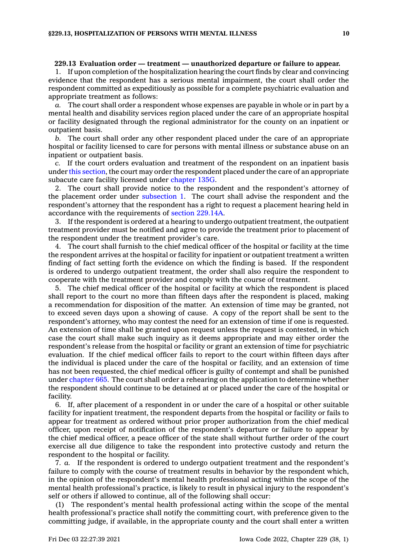### **229.13 Evaluation order — treatment — unauthorized departure or failure to appear.**

1. If upon completion of the hospitalization hearing the court finds by clear and convincing evidence that the respondent has <sup>a</sup> serious mental impairment, the court shall order the respondent committed as expeditiously as possible for <sup>a</sup> complete psychiatric evaluation and appropriate treatment as follows:

*a.* The court shall order <sup>a</sup> respondent whose expenses are payable in whole or in part by <sup>a</sup> mental health and disability services region placed under the care of an appropriate hospital or facility designated through the regional administrator for the county on an inpatient or outpatient basis.

*b.* The court shall order any other respondent placed under the care of an appropriate hospital or facility licensed to care for persons with mental illness or substance abuse on an inpatient or outpatient basis.

*c.* If the court orders evaluation and treatment of the respondent on an inpatient basis under this [section](https://www.legis.iowa.gov/docs/code/229.13.pdf), the court may order the respondent placed under the care of an appropriate subacute care facility licensed under [chapter](https://www.legis.iowa.gov/docs/code//135G.pdf) 135G.

2. The court shall provide notice to the respondent and the respondent's attorney of the placement order under [subsection](https://www.legis.iowa.gov/docs/code/229.13.pdf) 1. The court shall advise the respondent and the respondent's attorney that the respondent has <sup>a</sup> right to request <sup>a</sup> placement hearing held in accordance with the requirements of section [229.14A](https://www.legis.iowa.gov/docs/code/229.14A.pdf).

3. If the respondent is ordered at <sup>a</sup> hearing to undergo outpatient treatment, the outpatient treatment provider must be notified and agree to provide the treatment prior to placement of the respondent under the treatment provider's care.

4. The court shall furnish to the chief medical officer of the hospital or facility at the time the respondent arrives at the hospital or facility for inpatient or outpatient treatment <sup>a</sup> written finding of fact setting forth the evidence on which the finding is based. If the respondent is ordered to undergo outpatient treatment, the order shall also require the respondent to cooperate with the treatment provider and comply with the course of treatment.

5. The chief medical officer of the hospital or facility at which the respondent is placed shall report to the court no more than fifteen days after the respondent is placed, making <sup>a</sup> recommendation for disposition of the matter. An extension of time may be granted, not to exceed seven days upon <sup>a</sup> showing of cause. A copy of the report shall be sent to the respondent's attorney, who may contest the need for an extension of time if one is requested. An extension of time shall be granted upon request unless the request is contested, in which case the court shall make such inquiry as it deems appropriate and may either order the respondent's release from the hospital or facility or grant an extension of time for psychiatric evaluation. If the chief medical officer fails to report to the court within fifteen days after the individual is placed under the care of the hospital or facility, and an extension of time has not been requested, the chief medical officer is guilty of contempt and shall be punished under [chapter](https://www.legis.iowa.gov/docs/code//665.pdf) 665. The court shall order <sup>a</sup> rehearing on the application to determine whether the respondent should continue to be detained at or placed under the care of the hospital or facility.

6. If, after placement of <sup>a</sup> respondent in or under the care of <sup>a</sup> hospital or other suitable facility for inpatient treatment, the respondent departs from the hospital or facility or fails to appear for treatment as ordered without prior proper authorization from the chief medical officer, upon receipt of notification of the respondent's departure or failure to appear by the chief medical officer, <sup>a</sup> peace officer of the state shall without further order of the court exercise all due diligence to take the respondent into protective custody and return the respondent to the hospital or facility.

7. *a.* If the respondent is ordered to undergo outpatient treatment and the respondent's failure to comply with the course of treatment results in behavior by the respondent which, in the opinion of the respondent's mental health professional acting within the scope of the mental health professional's practice, is likely to result in physical injury to the respondent's self or others if allowed to continue, all of the following shall occur:

(1) The respondent's mental health professional acting within the scope of the mental health professional's practice shall notify the committing court, with preference given to the committing judge, if available, in the appropriate county and the court shall enter <sup>a</sup> written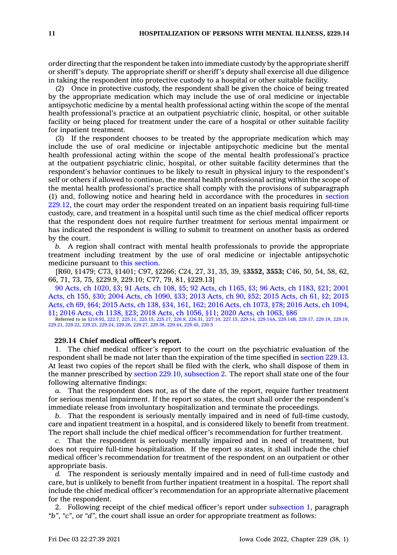order directing that the respondent be taken into immediate custody by the appropriate sheriff or sheriff's deputy. The appropriate sheriff or sheriff's deputy shall exercise all due diligence in taking the respondent into protective custody to <sup>a</sup> hospital or other suitable facility.

(2) Once in protective custody, the respondent shall be given the choice of being treated by the appropriate medication which may include the use of oral medicine or injectable antipsychotic medicine by <sup>a</sup> mental health professional acting within the scope of the mental health professional's practice at an outpatient psychiatric clinic, hospital, or other suitable facility or being placed for treatment under the care of <sup>a</sup> hospital or other suitable facility for inpatient treatment.

(3) If the respondent chooses to be treated by the appropriate medication which may include the use of oral medicine or injectable antipsychotic medicine but the mental health professional acting within the scope of the mental health professional's practice at the outpatient psychiatric clinic, hospital, or other suitable facility determines that the respondent's behavior continues to be likely to result in physical injury to the respondent's self or others if allowed to continue, the mental health professional acting within the scope of the mental health professional's practice shall comply with the provisions of subparagraph (1) and, following notice and hearing held in accordance with the procedures in [section](https://www.legis.iowa.gov/docs/code/229.12.pdf) [229.12](https://www.legis.iowa.gov/docs/code/229.12.pdf), the court may order the respondent treated on an inpatient basis requiring full-time custody, care, and treatment in <sup>a</sup> hospital until such time as the chief medical officer reports that the respondent does not require further treatment for serious mental impairment or has indicated the respondent is willing to submit to treatment on another basis as ordered by the court.

*b.* A region shall contract with mental health professionals to provide the appropriate treatment including treatment by the use of oral medicine or injectable antipsychotic medicine pursuant to this [section](https://www.legis.iowa.gov/docs/code/229.13.pdf).

[R60, §1479; C73, §1401; C97, §2266; C24, 27, 31, 35, 39, §**3552, 3553;** C46, 50, 54, 58, 62, 66, 71, 73, 75, §229.9, 229.10; C77, 79, 81, §229.13]

90 Acts, ch [1020,](https://www.legis.iowa.gov/docs/acts/1990/CH1020.pdf) §3; 91 [Acts,](https://www.legis.iowa.gov/docs/acts/91/CH0108.pdf) ch 108, §5; 92 Acts, ch [1165,](https://www.legis.iowa.gov/docs/acts/92/CH1165.pdf) §3; 96 Acts, ch [1183,](https://www.legis.iowa.gov/docs/acts/96/CH1183.pdf) §21; [2001](https://www.legis.iowa.gov/docs/acts/2001/CH0155.pdf) [Acts,](https://www.legis.iowa.gov/docs/acts/2001/CH0155.pdf) ch 155, §30; 2004 Acts, ch [1090,](https://www.legis.iowa.gov/docs/acts/2004/CH1090.pdf) §33; 2013 [Acts,](https://www.legis.iowa.gov/docs/acts/2013/CH0090.pdf) ch 90, §52; 2015 [Acts,](https://www.legis.iowa.gov/docs/acts/2015/CH0061.pdf) ch 61, §2; [2015](https://www.legis.iowa.gov/docs/acts/2015/CH0069.pdf) [Acts,](https://www.legis.iowa.gov/docs/acts/2015/CH0069.pdf) ch 69, §64; 2015 [Acts,](https://www.legis.iowa.gov/docs/acts/2015/CH0138.pdf) ch 138, §34, 161, 162; 2016 Acts, ch [1073,](https://www.legis.iowa.gov/docs/acts/2016/CH1073.pdf) §78; 2016 Acts, ch [1094,](https://www.legis.iowa.gov/docs/acts/2016/CH1094.pdf) [§1](https://www.legis.iowa.gov/docs/acts/2016/CH1094.pdf); 2016 Acts, ch [1138,](https://www.legis.iowa.gov/docs/acts/2016/CH1138.pdf) §23; 2018 Acts, ch [1056,](https://www.legis.iowa.gov/docs/acts/2018/CH1056.pdf) §11; 2020 Acts, ch [1063,](https://www.legis.iowa.gov/docs/acts/2020/CH1063.pdf) §86

Referred to in [§218.92](https://www.legis.iowa.gov/docs/code/218.92.pdf), [222.7,](https://www.legis.iowa.gov/docs/code/222.7.pdf) [225.11](https://www.legis.iowa.gov/docs/code/225.11.pdf), [225.15](https://www.legis.iowa.gov/docs/code/225.15.pdf), [225.17](https://www.legis.iowa.gov/docs/code/225.17.pdf), [226.9](https://www.legis.iowa.gov/docs/code/226.9.pdf), [226.31](https://www.legis.iowa.gov/docs/code/226.31.pdf), [227.10,](https://www.legis.iowa.gov/docs/code/227.10.pdf) [227.15](https://www.legis.iowa.gov/docs/code/227.15.pdf), [229.14](https://www.legis.iowa.gov/docs/code/229.14.pdf), [229.14A](https://www.legis.iowa.gov/docs/code/229.14A.pdf), [229.14B](https://www.legis.iowa.gov/docs/code/229.14B.pdf), [229.17](https://www.legis.iowa.gov/docs/code/229.17.pdf), [229.18](https://www.legis.iowa.gov/docs/code/229.18.pdf), [229.19](https://www.legis.iowa.gov/docs/code/229.19.pdf), [229.21](https://www.legis.iowa.gov/docs/code/229.21.pdf), [229.22](https://www.legis.iowa.gov/docs/code/229.22.pdf), [229.23](https://www.legis.iowa.gov/docs/code/229.23.pdf), [229.24](https://www.legis.iowa.gov/docs/code/229.24.pdf), [229.26](https://www.legis.iowa.gov/docs/code/229.26.pdf), [229.27](https://www.legis.iowa.gov/docs/code/229.27.pdf), [229.38](https://www.legis.iowa.gov/docs/code/229.38.pdf), [229.44](https://www.legis.iowa.gov/docs/code/229.44.pdf), [229.45](https://www.legis.iowa.gov/docs/code/229.45.pdf), [230.5](https://www.legis.iowa.gov/docs/code/230.5.pdf)

# **229.14 Chief medical officer's report.**

1. The chief medical officer's report to the court on the psychiatric evaluation of the respondent shall be made not later than the expiration of the time specified in [section](https://www.legis.iowa.gov/docs/code/229.13.pdf) 229.13. At least two copies of the report shall be filed with the clerk, who shall dispose of them in the manner prescribed by section 229.10, [subsection](https://www.legis.iowa.gov/docs/code/229.10.pdf) 2. The report shall state one of the four following alternative findings:

*a.* That the respondent does not, as of the date of the report, require further treatment for serious mental impairment. If the report so states, the court shall order the respondent's immediate release from involuntary hospitalization and terminate the proceedings.

*b.* That the respondent is seriously mentally impaired and in need of full-time custody, care and inpatient treatment in <sup>a</sup> hospital, and is considered likely to benefit from treatment. The report shall include the chief medical officer's recommendation for further treatment.

*c.* That the respondent is seriously mentally impaired and in need of treatment, but does not require full-time hospitalization. If the report so states, it shall include the chief medical officer's recommendation for treatment of the respondent on an outpatient or other appropriate basis.

*d.* The respondent is seriously mentally impaired and in need of full-time custody and care, but is unlikely to benefit from further inpatient treatment in <sup>a</sup> hospital. The report shall include the chief medical officer's recommendation for an appropriate alternative placement for the respondent.

2. Following receipt of the chief medical officer's report under [subsection](https://www.legis.iowa.gov/docs/code/229.14.pdf) 1, paragraph *"b"*, *"c"*, or *"d"*, the court shall issue an order for appropriate treatment as follows: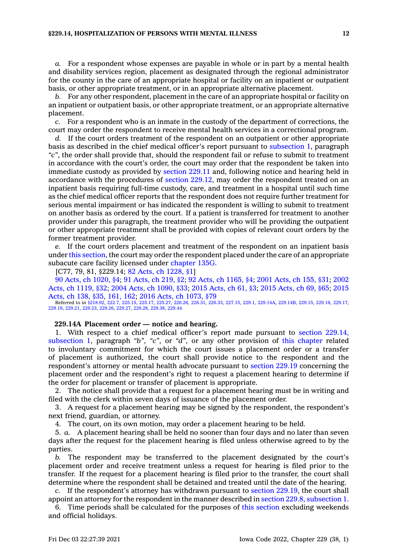### **§229.14, HOSPITALIZATION OF PERSONS WITH MENTAL ILLNESS 12**

*a.* For <sup>a</sup> respondent whose expenses are payable in whole or in part by <sup>a</sup> mental health and disability services region, placement as designated through the regional administrator for the county in the care of an appropriate hospital or facility on an inpatient or outpatient basis, or other appropriate treatment, or in an appropriate alternative placement.

*b.* For any other respondent, placement in the care of an appropriate hospital or facility on an inpatient or outpatient basis, or other appropriate treatment, or an appropriate alternative placement.

*c.* For <sup>a</sup> respondent who is an inmate in the custody of the department of corrections, the court may order the respondent to receive mental health services in <sup>a</sup> correctional program.

*d.* If the court orders treatment of the respondent on an outpatient or other appropriate basis as described in the chief medical officer's report pursuant to [subsection](https://www.legis.iowa.gov/docs/code/229.14.pdf) 1, paragraph *"c"*, the order shall provide that, should the respondent fail or refuse to submit to treatment in accordance with the court's order, the court may order that the respondent be taken into immediate custody as provided by [section](https://www.legis.iowa.gov/docs/code/229.11.pdf) 229.11 and, following notice and hearing held in accordance with the procedures of section [229.12](https://www.legis.iowa.gov/docs/code/229.12.pdf), may order the respondent treated on an inpatient basis requiring full-time custody, care, and treatment in <sup>a</sup> hospital until such time as the chief medical officer reports that the respondent does not require further treatment for serious mental impairment or has indicated the respondent is willing to submit to treatment on another basis as ordered by the court. If <sup>a</sup> patient is transferred for treatment to another provider under this paragraph, the treatment provider who will be providing the outpatient or other appropriate treatment shall be provided with copies of relevant court orders by the former treatment provider.

*e.* If the court orders placement and treatment of the respondent on an inpatient basis under this [section](https://www.legis.iowa.gov/docs/code/229.14.pdf), the court may order the respondent placed under the care of an appropriate subacute care facility licensed under [chapter](https://www.legis.iowa.gov/docs/code//135G.pdf) 135G.

[C77, 79, 81, §229.14; 82 Acts, ch [1228,](https://www.legis.iowa.gov/docs/acts/1982/CH1228.pdf) §1]

90 Acts, ch [1020,](https://www.legis.iowa.gov/docs/acts/1990/CH1020.pdf) §4; 91 [Acts,](https://www.legis.iowa.gov/docs/acts/91/CH0219.pdf) ch 219, §2; 92 Acts, ch [1165,](https://www.legis.iowa.gov/docs/acts/92/CH1165.pdf) §4; 2001 [Acts,](https://www.legis.iowa.gov/docs/acts/2001/CH0155.pdf) ch 155, §31; [2002](https://www.legis.iowa.gov/docs/acts/2002/CH1119.pdf) Acts, ch [1119,](https://www.legis.iowa.gov/docs/acts/2002/CH1119.pdf) §32; 2004 Acts, ch [1090,](https://www.legis.iowa.gov/docs/acts/2004/CH1090.pdf) §33; 2015 [Acts,](https://www.legis.iowa.gov/docs/acts/2015/CH0061.pdf) ch 61, §3; 2015 [Acts,](https://www.legis.iowa.gov/docs/acts/2015/CH0069.pdf) ch 69, §65; [2015](https://www.legis.iowa.gov/docs/acts/2015/CH0138.pdf) [Acts,](https://www.legis.iowa.gov/docs/acts/2015/CH0138.pdf) ch 138, §35, 161, 162; 2016 Acts, ch [1073,](https://www.legis.iowa.gov/docs/acts/2016/CH1073.pdf) §79

Referred to in [§218.92](https://www.legis.iowa.gov/docs/code/218.92.pdf), [222.7,](https://www.legis.iowa.gov/docs/code/222.7.pdf) [225.15](https://www.legis.iowa.gov/docs/code/225.15.pdf), [225.17](https://www.legis.iowa.gov/docs/code/225.17.pdf), [225.27](https://www.legis.iowa.gov/docs/code/225.27.pdf), [226.26](https://www.legis.iowa.gov/docs/code/226.26.pdf), [226.31](https://www.legis.iowa.gov/docs/code/226.31.pdf), [226.33](https://www.legis.iowa.gov/docs/code/226.33.pdf), [227.15](https://www.legis.iowa.gov/docs/code/227.15.pdf), [229.1](https://www.legis.iowa.gov/docs/code/229.1.pdf), [229.14A](https://www.legis.iowa.gov/docs/code/229.14A.pdf), [229.14B](https://www.legis.iowa.gov/docs/code/229.14B.pdf), [229.15](https://www.legis.iowa.gov/docs/code/229.15.pdf), [229.16](https://www.legis.iowa.gov/docs/code/229.16.pdf), [229.17](https://www.legis.iowa.gov/docs/code/229.17.pdf), [229.19](https://www.legis.iowa.gov/docs/code/229.19.pdf), [229.21](https://www.legis.iowa.gov/docs/code/229.21.pdf), [229.23](https://www.legis.iowa.gov/docs/code/229.23.pdf), [229.26,](https://www.legis.iowa.gov/docs/code/229.26.pdf) [229.27](https://www.legis.iowa.gov/docs/code/229.27.pdf), [229.28](https://www.legis.iowa.gov/docs/code/229.28.pdf), [229.38](https://www.legis.iowa.gov/docs/code/229.38.pdf), [229.44](https://www.legis.iowa.gov/docs/code/229.44.pdf)

**229.14A Placement order — notice and hearing.**

1. With respect to <sup>a</sup> chief medical officer's report made pursuant to section [229.14,](https://www.legis.iowa.gov/docs/code/229.14.pdf) [subsection](https://www.legis.iowa.gov/docs/code/229.14.pdf) 1, paragraph *"b"*, *"c"*, or *"d"*, or any other provision of this [chapter](https://www.legis.iowa.gov/docs/code//229.pdf) related to involuntary commitment for which the court issues <sup>a</sup> placement order or <sup>a</sup> transfer of placement is authorized, the court shall provide notice to the respondent and the respondent's attorney or mental health advocate pursuant to [section](https://www.legis.iowa.gov/docs/code/229.19.pdf) 229.19 concerning the placement order and the respondent's right to request <sup>a</sup> placement hearing to determine if the order for placement or transfer of placement is appropriate.

2. The notice shall provide that <sup>a</sup> request for <sup>a</sup> placement hearing must be in writing and filed with the clerk within seven days of issuance of the placement order.

3. A request for <sup>a</sup> placement hearing may be signed by the respondent, the respondent's next friend, guardian, or attorney.

4. The court, on its own motion, may order <sup>a</sup> placement hearing to be held.

5. *a.* A placement hearing shall be held no sooner than four days and no later than seven days after the request for the placement hearing is filed unless otherwise agreed to by the parties.

*b.* The respondent may be transferred to the placement designated by the court's placement order and receive treatment unless <sup>a</sup> request for hearing is filed prior to the transfer. If the request for <sup>a</sup> placement hearing is filed prior to the transfer, the court shall determine where the respondent shall be detained and treated until the date of the hearing.

*c.* If the respondent's attorney has withdrawn pursuant to section [229.19](https://www.legis.iowa.gov/docs/code/229.19.pdf), the court shall appoint an attorney for the respondent in the manner described in section 229.8, [subsection](https://www.legis.iowa.gov/docs/code/229.8.pdf) 1.

6. Time periods shall be calculated for the purposes of this [section](https://www.legis.iowa.gov/docs/code/229.14A.pdf) excluding weekends and official holidays.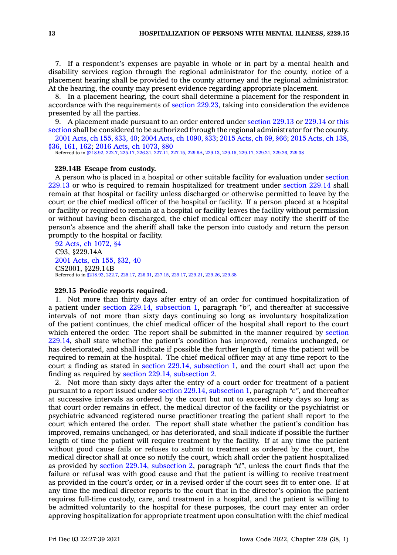7. If <sup>a</sup> respondent's expenses are payable in whole or in part by <sup>a</sup> mental health and disability services region through the regional administrator for the county, notice of <sup>a</sup> placement hearing shall be provided to the county attorney and the regional administrator. At the hearing, the county may present evidence regarding appropriate placement.

8. In <sup>a</sup> placement hearing, the court shall determine <sup>a</sup> placement for the respondent in accordance with the requirements of section [229.23](https://www.legis.iowa.gov/docs/code/229.23.pdf), taking into consideration the evidence presented by all the parties.

9. A placement made pursuant to an order entered under [section](https://www.legis.iowa.gov/docs/code/229.13.pdf) 229.13 or [229.14](https://www.legis.iowa.gov/docs/code/229.14.pdf) or [this](https://www.legis.iowa.gov/docs/code/229.14A.pdf) [section](https://www.legis.iowa.gov/docs/code/229.14A.pdf) shall be considered to be authorized through the regional administrator for the county.

2001 [Acts,](https://www.legis.iowa.gov/docs/acts/2001/CH0155.pdf) ch 155, §33, 40; 2004 Acts, ch [1090,](https://www.legis.iowa.gov/docs/acts/2004/CH1090.pdf) §33; 2015 [Acts,](https://www.legis.iowa.gov/docs/acts/2015/CH0069.pdf) ch 69, §66; 2015 [Acts,](https://www.legis.iowa.gov/docs/acts/2015/CH0138.pdf) ch 138, [§36,](https://www.legis.iowa.gov/docs/acts/2015/CH0138.pdf) 161, 162; 2016 Acts, ch [1073,](https://www.legis.iowa.gov/docs/acts/2016/CH1073.pdf) §80

Referred to in [§218.92](https://www.legis.iowa.gov/docs/code/218.92.pdf), [222.7](https://www.legis.iowa.gov/docs/code/222.7.pdf), [225.17](https://www.legis.iowa.gov/docs/code/225.17.pdf), [226.31](https://www.legis.iowa.gov/docs/code/226.31.pdf), [227.11](https://www.legis.iowa.gov/docs/code/227.11.pdf), [227.15](https://www.legis.iowa.gov/docs/code/227.15.pdf), [229.6A](https://www.legis.iowa.gov/docs/code/229.6A.pdf), [229.13](https://www.legis.iowa.gov/docs/code/229.13.pdf), [229.15](https://www.legis.iowa.gov/docs/code/229.15.pdf), [229.17](https://www.legis.iowa.gov/docs/code/229.17.pdf), [229.21,](https://www.legis.iowa.gov/docs/code/229.21.pdf) [229.26](https://www.legis.iowa.gov/docs/code/229.26.pdf), [229.38](https://www.legis.iowa.gov/docs/code/229.38.pdf)

### **229.14B Escape from custody.**

A person who is placed in <sup>a</sup> hospital or other suitable facility for evaluation under [section](https://www.legis.iowa.gov/docs/code/229.13.pdf) [229.13](https://www.legis.iowa.gov/docs/code/229.13.pdf) or who is required to remain hospitalized for treatment under [section](https://www.legis.iowa.gov/docs/code/229.14.pdf) 229.14 shall remain at that hospital or facility unless discharged or otherwise permitted to leave by the court or the chief medical officer of the hospital or facility. If <sup>a</sup> person placed at <sup>a</sup> hospital or facility or required to remain at <sup>a</sup> hospital or facility leaves the facility without permission or without having been discharged, the chief medical officer may notify the sheriff of the person's absence and the sheriff shall take the person into custody and return the person promptly to the hospital or facility.

92 Acts, ch [1072,](https://www.legis.iowa.gov/docs/acts/1992/CH1072.pdf) §4 C93, §229.14A 2001 [Acts,](https://www.legis.iowa.gov/docs/acts/2001/CH0155.pdf) ch 155, §32, 40 CS2001, §229.14B Referred to in [§218.92](https://www.legis.iowa.gov/docs/code/218.92.pdf), [222.7](https://www.legis.iowa.gov/docs/code/222.7.pdf), [225.17](https://www.legis.iowa.gov/docs/code/225.17.pdf), [226.31](https://www.legis.iowa.gov/docs/code/226.31.pdf), [227.15](https://www.legis.iowa.gov/docs/code/227.15.pdf), [229.17](https://www.legis.iowa.gov/docs/code/229.17.pdf), [229.21](https://www.legis.iowa.gov/docs/code/229.21.pdf), [229.26](https://www.legis.iowa.gov/docs/code/229.26.pdf), [229.38](https://www.legis.iowa.gov/docs/code/229.38.pdf)

### **229.15 Periodic reports required.**

1. Not more than thirty days after entry of an order for continued hospitalization of <sup>a</sup> patient under section 229.14, [subsection](https://www.legis.iowa.gov/docs/code/229.14.pdf) 1, paragraph *"b"*, and thereafter at successive intervals of not more than sixty days continuing so long as involuntary hospitalization of the patient continues, the chief medical officer of the hospital shall report to the court which entered the order. The report shall be submitted in the manner required by [section](https://www.legis.iowa.gov/docs/code/229.14.pdf) [229.14](https://www.legis.iowa.gov/docs/code/229.14.pdf), shall state whether the patient's condition has improved, remains unchanged, or has deteriorated, and shall indicate if possible the further length of time the patient will be required to remain at the hospital. The chief medical officer may at any time report to the court <sup>a</sup> finding as stated in section 229.14, [subsection](https://www.legis.iowa.gov/docs/code/229.14.pdf) 1, and the court shall act upon the finding as required by section 229.14, [subsection](https://www.legis.iowa.gov/docs/code/229.14.pdf) 2.

2. Not more than sixty days after the entry of <sup>a</sup> court order for treatment of <sup>a</sup> patient pursuant to <sup>a</sup> report issued under section 229.14, [subsection](https://www.legis.iowa.gov/docs/code/229.14.pdf) 1, paragraph *"c"*, and thereafter at successive intervals as ordered by the court but not to exceed ninety days so long as that court order remains in effect, the medical director of the facility or the psychiatrist or psychiatric advanced registered nurse practitioner treating the patient shall report to the court which entered the order. The report shall state whether the patient's condition has improved, remains unchanged, or has deteriorated, and shall indicate if possible the further length of time the patient will require treatment by the facility. If at any time the patient without good cause fails or refuses to submit to treatment as ordered by the court, the medical director shall at once so notify the court, which shall order the patient hospitalized as provided by section 229.14, [subsection](https://www.legis.iowa.gov/docs/code/229.14.pdf) 2, paragraph *"d"*, unless the court finds that the failure or refusal was with good cause and that the patient is willing to receive treatment as provided in the court's order, or in <sup>a</sup> revised order if the court sees fit to enter one. If at any time the medical director reports to the court that in the director's opinion the patient requires full-time custody, care, and treatment in <sup>a</sup> hospital, and the patient is willing to be admitted voluntarily to the hospital for these purposes, the court may enter an order approving hospitalization for appropriate treatment upon consultation with the chief medical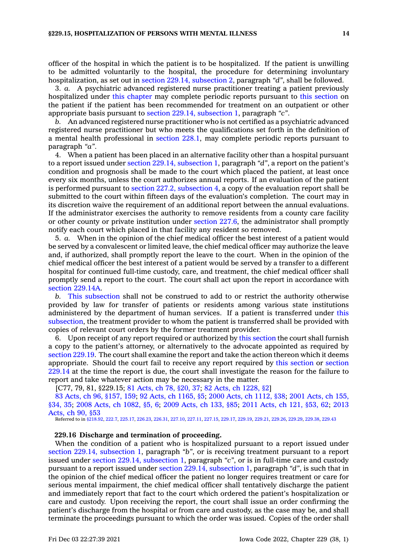officer of the hospital in which the patient is to be hospitalized. If the patient is unwilling to be admitted voluntarily to the hospital, the procedure for determining involuntary hospitalization, as set out in section 229.14, [subsection](https://www.legis.iowa.gov/docs/code/229.14.pdf) 2, paragraph *"d"*, shall be followed.

3. *a.* A psychiatric advanced registered nurse practitioner treating <sup>a</sup> patient previously hospitalized under this [chapter](https://www.legis.iowa.gov/docs/code//229.pdf) may complete periodic reports pursuant to this [section](https://www.legis.iowa.gov/docs/code/229.15.pdf) on the patient if the patient has been recommended for treatment on an outpatient or other appropriate basis pursuant to section 229.14, [subsection](https://www.legis.iowa.gov/docs/code/229.14.pdf) 1, paragraph *"c"*.

*b.* An advanced registered nurse practitioner who is not certified as <sup>a</sup> psychiatric advanced registered nurse practitioner but who meets the qualifications set forth in the definition of <sup>a</sup> mental health professional in [section](https://www.legis.iowa.gov/docs/code/228.1.pdf) 228.1, may complete periodic reports pursuant to paragraph *"a"*.

4. When <sup>a</sup> patient has been placed in an alternative facility other than <sup>a</sup> hospital pursuant to <sup>a</sup> report issued under section 229.14, [subsection](https://www.legis.iowa.gov/docs/code/229.14.pdf) 1, paragraph *"d"*, <sup>a</sup> report on the patient's condition and prognosis shall be made to the court which placed the patient, at least once every six months, unless the court authorizes annual reports. If an evaluation of the patient is performed pursuant to section 227.2, [subsection](https://www.legis.iowa.gov/docs/code/227.2.pdf) 4, <sup>a</sup> copy of the evaluation report shall be submitted to the court within fifteen days of the evaluation's completion. The court may in its discretion waive the requirement of an additional report between the annual evaluations. If the administrator exercises the authority to remove residents from <sup>a</sup> county care facility or other county or private institution under [section](https://www.legis.iowa.gov/docs/code/227.6.pdf) 227.6, the administrator shall promptly notify each court which placed in that facility any resident so removed.

5. *a.* When in the opinion of the chief medical officer the best interest of <sup>a</sup> patient would be served by <sup>a</sup> convalescent or limited leave, the chief medical officer may authorize the leave and, if authorized, shall promptly report the leave to the court. When in the opinion of the chief medical officer the best interest of <sup>a</sup> patient would be served by <sup>a</sup> transfer to <sup>a</sup> different hospital for continued full-time custody, care, and treatment, the chief medical officer shall promptly send <sup>a</sup> report to the court. The court shall act upon the report in accordance with section [229.14A](https://www.legis.iowa.gov/docs/code/229.14A.pdf).

*b.* This [subsection](https://www.legis.iowa.gov/docs/code/229.15.pdf) shall not be construed to add to or restrict the authority otherwise provided by law for transfer of patients or residents among various state institutions administered by the department of human services. If <sup>a</sup> patient is transferred under [this](https://www.legis.iowa.gov/docs/code/229.15.pdf) [subsection](https://www.legis.iowa.gov/docs/code/229.15.pdf), the treatment provider to whom the patient is transferred shall be provided with copies of relevant court orders by the former treatment provider.

6. Upon receipt of any report required or authorized by this [section](https://www.legis.iowa.gov/docs/code/229.15.pdf) the court shall furnish <sup>a</sup> copy to the patient's attorney, or alternatively to the advocate appointed as required by [section](https://www.legis.iowa.gov/docs/code/229.19.pdf) 229.19. The court shall examine the report and take the action thereon which it deems appropriate. Should the court fail to receive any report required by this [section](https://www.legis.iowa.gov/docs/code/229.15.pdf) or [section](https://www.legis.iowa.gov/docs/code/229.14.pdf) [229.14](https://www.legis.iowa.gov/docs/code/229.14.pdf) at the time the report is due, the court shall investigate the reason for the failure to report and take whatever action may be necessary in the matter.

[C77, 79, 81, §229.15; 81 [Acts,](https://www.legis.iowa.gov/docs/acts/1981/CH0078.pdf) ch 78, §20, 37; 82 Acts, ch [1228,](https://www.legis.iowa.gov/docs/acts/1982/CH1228.pdf) §2]

83 Acts, ch 96, [§157,](https://www.legis.iowa.gov/docs/acts/1983/CH0096.pdf) 159; 92 Acts, ch [1165,](https://www.legis.iowa.gov/docs/acts/92/CH1165.pdf) §5; 2000 Acts, ch [1112,](https://www.legis.iowa.gov/docs/acts/2000/CH1112.pdf) §38; 2001 [Acts,](https://www.legis.iowa.gov/docs/acts/2001/CH0155.pdf) ch 155, [§34,](https://www.legis.iowa.gov/docs/acts/2001/CH0155.pdf) 35; 2008 Acts, ch [1082,](https://www.legis.iowa.gov/docs/acts/2008/CH1082.pdf) §5, 6; 2009 [Acts,](https://www.legis.iowa.gov/docs/acts/2009/CH0133.pdf) ch 133, §85; 2011 [Acts,](https://www.legis.iowa.gov/docs/acts/2011/CH0121.pdf) ch 121, §53, 62; [2013](https://www.legis.iowa.gov/docs/acts/2013/CH0090.pdf) [Acts,](https://www.legis.iowa.gov/docs/acts/2013/CH0090.pdf) ch 90, §53

Referred to in [§218.92](https://www.legis.iowa.gov/docs/code/218.92.pdf), [222.7](https://www.legis.iowa.gov/docs/code/222.7.pdf), [225.17](https://www.legis.iowa.gov/docs/code/225.17.pdf), [226.23](https://www.legis.iowa.gov/docs/code/226.23.pdf), [226.31](https://www.legis.iowa.gov/docs/code/226.31.pdf), [227.10](https://www.legis.iowa.gov/docs/code/227.10.pdf), [227.11](https://www.legis.iowa.gov/docs/code/227.11.pdf), [227.15](https://www.legis.iowa.gov/docs/code/227.15.pdf), [229.17](https://www.legis.iowa.gov/docs/code/229.17.pdf), [229.19,](https://www.legis.iowa.gov/docs/code/229.19.pdf) [229.21](https://www.legis.iowa.gov/docs/code/229.21.pdf), [229.26](https://www.legis.iowa.gov/docs/code/229.26.pdf), [229.29](https://www.legis.iowa.gov/docs/code/229.29.pdf), [229.38](https://www.legis.iowa.gov/docs/code/229.38.pdf), [229.43](https://www.legis.iowa.gov/docs/code/229.43.pdf)

### **229.16 Discharge and termination of proceeding.**

When the condition of <sup>a</sup> patient who is hospitalized pursuant to <sup>a</sup> report issued under section 229.14, [subsection](https://www.legis.iowa.gov/docs/code/229.14.pdf) 1, paragraph *"b"*, or is receiving treatment pursuant to <sup>a</sup> report issued under section 229.14, [subsection](https://www.legis.iowa.gov/docs/code/229.14.pdf) 1, paragraph *"c"*, or is in full-time care and custody pursuant to <sup>a</sup> report issued under section 229.14, [subsection](https://www.legis.iowa.gov/docs/code/229.14.pdf) 1, paragraph *"d"*, is such that in the opinion of the chief medical officer the patient no longer requires treatment or care for serious mental impairment, the chief medical officer shall tentatively discharge the patient and immediately report that fact to the court which ordered the patient's hospitalization or care and custody. Upon receiving the report, the court shall issue an order confirming the patient's discharge from the hospital or from care and custody, as the case may be, and shall terminate the proceedings pursuant to which the order was issued. Copies of the order shall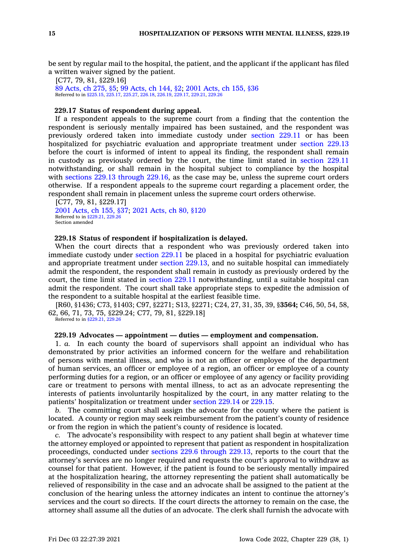be sent by regular mail to the hospital, the patient, and the applicant if the applicant has filed <sup>a</sup> written waiver signed by the patient.

[C77, 79, 81, §229.16] 89 [Acts,](https://www.legis.iowa.gov/docs/acts/1989/CH0275.pdf) ch 275, §5; 99 [Acts,](https://www.legis.iowa.gov/docs/acts/1999/CH0144.pdf) ch 144, §2; 2001 [Acts,](https://www.legis.iowa.gov/docs/acts/2001/CH0155.pdf) ch 155, §36 Referred to in [§225.15](https://www.legis.iowa.gov/docs/code/225.15.pdf), [225.17,](https://www.legis.iowa.gov/docs/code/225.17.pdf) [225.27](https://www.legis.iowa.gov/docs/code/225.27.pdf), [226.18](https://www.legis.iowa.gov/docs/code/226.18.pdf), [226.19,](https://www.legis.iowa.gov/docs/code/226.19.pdf) [229.17](https://www.legis.iowa.gov/docs/code/229.17.pdf), [229.21](https://www.legis.iowa.gov/docs/code/229.21.pdf), [229.26](https://www.legis.iowa.gov/docs/code/229.26.pdf)

# **229.17 Status of respondent during appeal.**

If <sup>a</sup> respondent appeals to the supreme court from <sup>a</sup> finding that the contention the respondent is seriously mentally impaired has been sustained, and the respondent was previously ordered taken into immediate custody under [section](https://www.legis.iowa.gov/docs/code/229.11.pdf) 229.11 or has been hospitalized for psychiatric evaluation and appropriate treatment under [section](https://www.legis.iowa.gov/docs/code/229.13.pdf) 229.13 before the court is informed of intent to appeal its finding, the respondent shall remain in custody as previously ordered by the court, the time limit stated in [section](https://www.legis.iowa.gov/docs/code/229.11.pdf) 229.11 notwithstanding, or shall remain in the hospital subject to compliance by the hospital with sections 229.13 [through](https://www.legis.iowa.gov/docs/code/229.13.pdf) 229.16, as the case may be, unless the supreme court orders otherwise. If <sup>a</sup> respondent appeals to the supreme court regarding <sup>a</sup> placement order, the respondent shall remain in placement unless the supreme court orders otherwise.

[C77, 79, 81, §229.17] 2001 [Acts,](https://www.legis.iowa.gov/docs/acts/2001/CH0155.pdf) ch 155, §37; 2021 [Acts,](https://www.legis.iowa.gov/docs/acts/2021/CH0080.pdf) ch 80, §120 Referred to in [§229.21](https://www.legis.iowa.gov/docs/code/229.21.pdf), [229.26](https://www.legis.iowa.gov/docs/code/229.26.pdf) Section amended

# **229.18 Status of respondent if hospitalization is delayed.**

When the court directs that <sup>a</sup> respondent who was previously ordered taken into immediate custody under [section](https://www.legis.iowa.gov/docs/code/229.11.pdf) 229.11 be placed in <sup>a</sup> hospital for psychiatric evaluation and appropriate treatment under section [229.13](https://www.legis.iowa.gov/docs/code/229.13.pdf), and no suitable hospital can immediately admit the respondent, the respondent shall remain in custody as previously ordered by the court, the time limit stated in [section](https://www.legis.iowa.gov/docs/code/229.11.pdf) 229.11 notwithstanding, until <sup>a</sup> suitable hospital can admit the respondent. The court shall take appropriate steps to expedite the admission of the respondent to <sup>a</sup> suitable hospital at the earliest feasible time.

[R60, §1436; C73, §1403; C97, §2271; S13, §2271; C24, 27, 31, 35, 39, §**3564;** C46, 50, 54, 58, 62, 66, 71, 73, 75, §229.24; C77, 79, 81, §229.18]

Referred to in [§229.21](https://www.legis.iowa.gov/docs/code/229.21.pdf), [229.26](https://www.legis.iowa.gov/docs/code/229.26.pdf)

# **229.19 Advocates — appointment — duties — employment and compensation.**

1. *a.* In each county the board of supervisors shall appoint an individual who has demonstrated by prior activities an informed concern for the welfare and rehabilitation of persons with mental illness, and who is not an officer or employee of the department of human services, an officer or employee of <sup>a</sup> region, an officer or employee of <sup>a</sup> county performing duties for <sup>a</sup> region, or an officer or employee of any agency or facility providing care or treatment to persons with mental illness, to act as an advocate representing the interests of patients involuntarily hospitalized by the court, in any matter relating to the patients' hospitalization or treatment under [section](https://www.legis.iowa.gov/docs/code/229.14.pdf) 229.14 or [229.15](https://www.legis.iowa.gov/docs/code/229.15.pdf).

*b.* The committing court shall assign the advocate for the county where the patient is located. A county or region may seek reimbursement from the patient's county of residence or from the region in which the patient's county of residence is located.

*c.* The advocate's responsibility with respect to any patient shall begin at whatever time the attorney employed or appointed to represent that patient as respondent in hospitalization proceedings, conducted under sections 229.6 [through](https://www.legis.iowa.gov/docs/code/229.6.pdf) 229.13, reports to the court that the attorney's services are no longer required and requests the court's approval to withdraw as counsel for that patient. However, if the patient is found to be seriously mentally impaired at the hospitalization hearing, the attorney representing the patient shall automatically be relieved of responsibility in the case and an advocate shall be assigned to the patient at the conclusion of the hearing unless the attorney indicates an intent to continue the attorney's services and the court so directs. If the court directs the attorney to remain on the case, the attorney shall assume all the duties of an advocate. The clerk shall furnish the advocate with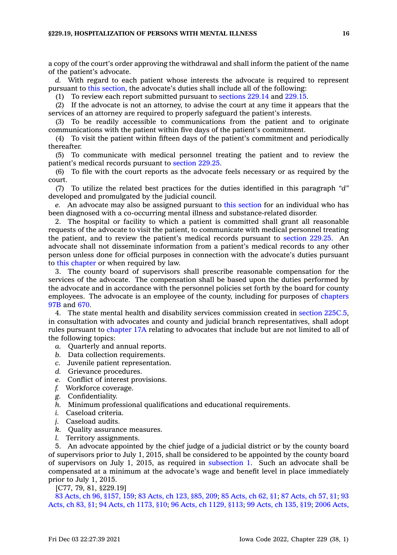<sup>a</sup> copy of the court's order approving the withdrawal and shall inform the patient of the name of the patient's advocate.

*d.* With regard to each patient whose interests the advocate is required to represent pursuant to this [section](https://www.legis.iowa.gov/docs/code/229.19.pdf), the advocate's duties shall include all of the following:

(1) To review each report submitted pursuant to [sections](https://www.legis.iowa.gov/docs/code/229.14.pdf) 229.14 and [229.15](https://www.legis.iowa.gov/docs/code/229.15.pdf).

(2) If the advocate is not an attorney, to advise the court at any time it appears that the services of an attorney are required to properly safeguard the patient's interests.

(3) To be readily accessible to communications from the patient and to originate communications with the patient within five days of the patient's commitment.

(4) To visit the patient within fifteen days of the patient's commitment and periodically thereafter.

(5) To communicate with medical personnel treating the patient and to review the patient's medical records pursuant to [section](https://www.legis.iowa.gov/docs/code/229.25.pdf) 229.25.

(6) To file with the court reports as the advocate feels necessary or as required by the court.

(7) To utilize the related best practices for the duties identified in this paragraph *"d"* developed and promulgated by the judicial council.

*e.* An advocate may also be assigned pursuant to this [section](https://www.legis.iowa.gov/docs/code/229.19.pdf) for an individual who has been diagnosed with <sup>a</sup> co-occurring mental illness and substance-related disorder.

2. The hospital or facility to which <sup>a</sup> patient is committed shall grant all reasonable requests of the advocate to visit the patient, to communicate with medical personnel treating the patient, and to review the patient's medical records pursuant to [section](https://www.legis.iowa.gov/docs/code/229.25.pdf) 229.25. An advocate shall not disseminate information from <sup>a</sup> patient's medical records to any other person unless done for official purposes in connection with the advocate's duties pursuant to this [chapter](https://www.legis.iowa.gov/docs/code//229.pdf) or when required by law.

3. The county board of supervisors shall prescribe reasonable compensation for the services of the advocate. The compensation shall be based upon the duties performed by the advocate and in accordance with the personnel policies set forth by the board for county employees. The advocate is an employee of the county, including for purposes of [chapters](https://www.legis.iowa.gov/docs/code//97B.pdf) [97B](https://www.legis.iowa.gov/docs/code//97B.pdf) and [670](https://www.legis.iowa.gov/docs/code//670.pdf).

4. The state mental health and disability services commission created in section [225C.5](https://www.legis.iowa.gov/docs/code/225C.5.pdf), in consultation with advocates and county and judicial branch representatives, shall adopt rules pursuant to [chapter](https://www.legis.iowa.gov/docs/code//17A.pdf) 17A relating to advocates that include but are not limited to all of the following topics:

- *a.* Quarterly and annual reports.
- *b.* Data collection requirements.
- *c.* Juvenile patient representation.
- *d.* Grievance procedures.
- *e.* Conflict of interest provisions.
- *f.* Workforce coverage.
- *g.* Confidentiality.
- *h.* Minimum professional qualifications and educational requirements.
- *i.* Caseload criteria.
- *j.* Caseload audits.
- *k.* Quality assurance measures.
- *l.* Territory assignments.

5. An advocate appointed by the chief judge of <sup>a</sup> judicial district or by the county board of supervisors prior to July 1, 2015, shall be considered to be appointed by the county board of supervisors on July 1, 2015, as required in [subsection](https://www.legis.iowa.gov/docs/code/229.19.pdf) 1. Such an advocate shall be compensated at <sup>a</sup> minimum at the advocate's wage and benefit level in place immediately prior to July 1, 2015.

[C77, 79, 81, §229.19]

83 Acts, ch 96, [§157,](https://www.legis.iowa.gov/docs/acts/1983/CH0096.pdf) 159; 83 [Acts,](https://www.legis.iowa.gov/docs/acts/83/CH0123.pdf) ch 123, §85, 209; 85 [Acts,](https://www.legis.iowa.gov/docs/acts/85/CH0062.pdf) ch 62, §1; 87 [Acts,](https://www.legis.iowa.gov/docs/acts/87/CH0057.pdf) ch 57, §1; [93](https://www.legis.iowa.gov/docs/acts/93/CH0083.pdf) [Acts,](https://www.legis.iowa.gov/docs/acts/93/CH0083.pdf) ch 83, §1; 94 Acts, ch [1173,](https://www.legis.iowa.gov/docs/acts/94/CH1173.pdf) §10; 96 Acts, ch [1129,](https://www.legis.iowa.gov/docs/acts/96/CH1129.pdf) §113; 99 [Acts,](https://www.legis.iowa.gov/docs/acts/99/CH0135.pdf) ch 135, §19; 2006 [Acts,](https://www.legis.iowa.gov/docs/acts/2006/CH1030.pdf)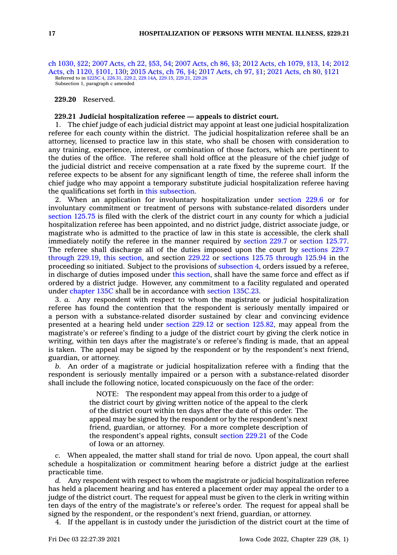ch [1030,](https://www.legis.iowa.gov/docs/acts/2006/CH1030.pdf) §22; 2007 [Acts,](https://www.legis.iowa.gov/docs/acts/2007/CH0022.pdf) ch 22, §53, 54; 2007 [Acts,](https://www.legis.iowa.gov/docs/acts/2007/CH0086.pdf) ch 86, §3; 2012 Acts, ch [1079,](https://www.legis.iowa.gov/docs/acts/2012/CH1079.pdf) §13, 14; [2012](https://www.legis.iowa.gov/docs/acts/2012/CH1120.pdf) Acts, ch 1120, [§101,](https://www.legis.iowa.gov/docs/acts/2012/CH1120.pdf) 130; 2015 [Acts,](https://www.legis.iowa.gov/docs/acts/2015/CH0076.pdf) ch 76, §4; 2017 [Acts,](https://www.legis.iowa.gov/docs/acts/2017/CH0097.pdf) ch 97, §1; 2021 [Acts,](https://www.legis.iowa.gov/docs/acts/2021/CH0080.pdf) ch 80, §121 Referred to in [§225C.4](https://www.legis.iowa.gov/docs/code/225C.4.pdf), [226.31](https://www.legis.iowa.gov/docs/code/226.31.pdf), [229.2](https://www.legis.iowa.gov/docs/code/229.2.pdf), [229.14A,](https://www.legis.iowa.gov/docs/code/229.14A.pdf) [229.15](https://www.legis.iowa.gov/docs/code/229.15.pdf), [229.21](https://www.legis.iowa.gov/docs/code/229.21.pdf), [229.26](https://www.legis.iowa.gov/docs/code/229.26.pdf) Subsection 1, paragraph <sup>c</sup> amended

**229.20** Reserved.

### **229.21 Judicial hospitalization referee — appeals to district court.**

1. The chief judge of each judicial district may appoint at least one judicial hospitalization referee for each county within the district. The judicial hospitalization referee shall be an attorney, licensed to practice law in this state, who shall be chosen with consideration to any training, experience, interest, or combination of those factors, which are pertinent to the duties of the office. The referee shall hold office at the pleasure of the chief judge of the judicial district and receive compensation at <sup>a</sup> rate fixed by the supreme court. If the referee expects to be absent for any significant length of time, the referee shall inform the chief judge who may appoint <sup>a</sup> temporary substitute judicial hospitalization referee having the qualifications set forth in this [subsection](https://www.legis.iowa.gov/docs/code/229.21.pdf).

2. When an application for involuntary hospitalization under [section](https://www.legis.iowa.gov/docs/code/229.6.pdf) 229.6 or for involuntary commitment or treatment of persons with substance-related disorders under [section](https://www.legis.iowa.gov/docs/code/125.75.pdf) 125.75 is filed with the clerk of the district court in any county for which <sup>a</sup> judicial hospitalization referee has been appointed, and no district judge, district associate judge, or magistrate who is admitted to the practice of law in this state is accessible, the clerk shall immediately notify the referee in the manner required by [section](https://www.legis.iowa.gov/docs/code/229.7.pdf) 229.7 or [section](https://www.legis.iowa.gov/docs/code/125.77.pdf) 125.77. The referee shall discharge all of the duties imposed upon the court by [sections](https://www.legis.iowa.gov/docs/code/229.7.pdf) 229.7 [through](https://www.legis.iowa.gov/docs/code/229.7.pdf) 229.19, this [section](https://www.legis.iowa.gov/docs/code/229.21.pdf), and section [229.22](https://www.legis.iowa.gov/docs/code/229.22.pdf) or sections 125.75 [through](https://www.legis.iowa.gov/docs/code/125.75.pdf) 125.94 in the proceeding so initiated. Subject to the provisions of [subsection](https://www.legis.iowa.gov/docs/code/229.21.pdf) 4, orders issued by <sup>a</sup> referee, in discharge of duties imposed under this [section](https://www.legis.iowa.gov/docs/code/229.21.pdf), shall have the same force and effect as if ordered by <sup>a</sup> district judge. However, any commitment to <sup>a</sup> facility regulated and operated under [chapter](https://www.legis.iowa.gov/docs/code//135C.pdf) 135C shall be in accordance with section [135C.23](https://www.legis.iowa.gov/docs/code/135C.23.pdf).

3. *a.* Any respondent with respect to whom the magistrate or judicial hospitalization referee has found the contention that the respondent is seriously mentally impaired or <sup>a</sup> person with <sup>a</sup> substance-related disorder sustained by clear and convincing evidence presented at <sup>a</sup> hearing held under [section](https://www.legis.iowa.gov/docs/code/229.12.pdf) 229.12 or section [125.82](https://www.legis.iowa.gov/docs/code/125.82.pdf), may appeal from the magistrate's or referee's finding to <sup>a</sup> judge of the district court by giving the clerk notice in writing, within ten days after the magistrate's or referee's finding is made, that an appeal is taken. The appeal may be signed by the respondent or by the respondent's next friend, guardian, or attorney.

*b.* An order of <sup>a</sup> magistrate or judicial hospitalization referee with <sup>a</sup> finding that the respondent is seriously mentally impaired or <sup>a</sup> person with <sup>a</sup> substance-related disorder shall include the following notice, located conspicuously on the face of the order:

> NOTE: The respondent may appeal from this order to <sup>a</sup> judge of the district court by giving written notice of the appeal to the clerk of the district court within ten days after the date of this order. The appeal may be signed by the respondent or by the respondent's next friend, guardian, or attorney. For <sup>a</sup> more complete description of the respondent's appeal rights, consult [section](https://www.legis.iowa.gov/docs/code/229.21.pdf) 229.21 of the Code of Iowa or an attorney.

*c.* When appealed, the matter shall stand for trial de novo. Upon appeal, the court shall schedule <sup>a</sup> hospitalization or commitment hearing before <sup>a</sup> district judge at the earliest practicable time.

*d.* Any respondent with respect to whom the magistrate or judicial hospitalization referee has held <sup>a</sup> placement hearing and has entered <sup>a</sup> placement order may appeal the order to <sup>a</sup> judge of the district court. The request for appeal must be given to the clerk in writing within ten days of the entry of the magistrate's or referee's order. The request for appeal shall be signed by the respondent, or the respondent's next friend, guardian, or attorney.

4. If the appellant is in custody under the jurisdiction of the district court at the time of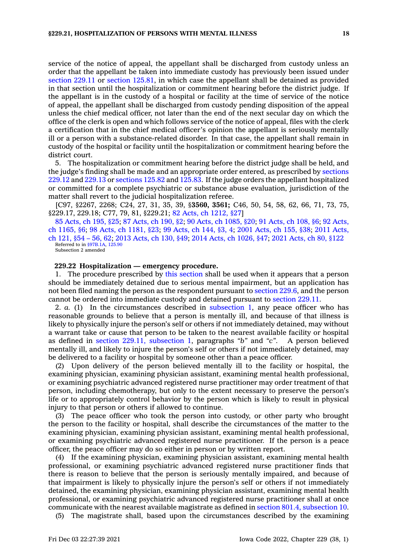service of the notice of appeal, the appellant shall be discharged from custody unless an order that the appellant be taken into immediate custody has previously been issued under [section](https://www.legis.iowa.gov/docs/code/229.11.pdf) 229.11 or section [125.81](https://www.legis.iowa.gov/docs/code/125.81.pdf), in which case the appellant shall be detained as provided in that section until the hospitalization or commitment hearing before the district judge. If the appellant is in the custody of <sup>a</sup> hospital or facility at the time of service of the notice of appeal, the appellant shall be discharged from custody pending disposition of the appeal unless the chief medical officer, not later than the end of the next secular day on which the office of the clerk is open and which follows service of the notice of appeal, files with the clerk <sup>a</sup> certification that in the chief medical officer's opinion the appellant is seriously mentally ill or <sup>a</sup> person with <sup>a</sup> substance-related disorder. In that case, the appellant shall remain in custody of the hospital or facility until the hospitalization or commitment hearing before the district court.

5. The hospitalization or commitment hearing before the district judge shall be held, and the judge's finding shall be made and an appropriate order entered, as prescribed by [sections](https://www.legis.iowa.gov/docs/code/229.12.pdf) [229.12](https://www.legis.iowa.gov/docs/code/229.12.pdf) and [229.13](https://www.legis.iowa.gov/docs/code/229.13.pdf) or [sections](https://www.legis.iowa.gov/docs/code/125.82.pdf) 125.82 and [125.83](https://www.legis.iowa.gov/docs/code/125.83.pdf). If the judge orders the appellant hospitalized or committed for <sup>a</sup> complete psychiatric or substance abuse evaluation, jurisdiction of the matter shall revert to the judicial hospitalization referee.

[C97, §2267, 2268; C24, 27, 31, 35, 39, §**3560, 3561;** C46, 50, 54, 58, 62, 66, 71, 73, 75, §229.17, 229.18; C77, 79, 81, §229.21; 82 Acts, ch [1212,](https://www.legis.iowa.gov/docs/acts/1982/CH1212.pdf) §27]

85 [Acts,](https://www.legis.iowa.gov/docs/acts/1985/CH0195.pdf) ch 195, §25; 87 [Acts,](https://www.legis.iowa.gov/docs/acts/87/CH0190.pdf) ch 190, §2; 90 Acts, ch [1085,](https://www.legis.iowa.gov/docs/acts/90/CH1085.pdf) §20; 91 [Acts,](https://www.legis.iowa.gov/docs/acts/91/CH0108.pdf) ch 108, §6; 92 [Acts,](https://www.legis.iowa.gov/docs/acts/92/CH1165.pdf) ch [1165,](https://www.legis.iowa.gov/docs/acts/92/CH1165.pdf) §6; 98 Acts, ch [1181,](https://www.legis.iowa.gov/docs/acts/98/CH1181.pdf) §23; 99 [Acts,](https://www.legis.iowa.gov/docs/acts/99/CH0144.pdf) ch 144, §3, 4; 2001 [Acts,](https://www.legis.iowa.gov/docs/acts/2001/CH0155.pdf) ch 155, §38; 2011 [Acts,](https://www.legis.iowa.gov/docs/acts/2011/CH0121.pdf) ch [121,](https://www.legis.iowa.gov/docs/acts/2011/CH0121.pdf) §54 – 56, 62; 2013 [Acts,](https://www.legis.iowa.gov/docs/acts/2013/CH0130.pdf) ch 130, §49; 2014 Acts, ch [1026,](https://www.legis.iowa.gov/docs/acts/2014/CH1026.pdf) §47; 2021 [Acts,](https://www.legis.iowa.gov/docs/acts/2021/CH0080.pdf) ch 80, §122 Referred to in [§97B.1A,](https://www.legis.iowa.gov/docs/code/97B.1A.pdf) [125.90](https://www.legis.iowa.gov/docs/code/125.90.pdf) Subsection 2 amended

#### **229.22 Hospitalization — emergency procedure.**

1. The procedure prescribed by this [section](https://www.legis.iowa.gov/docs/code/229.22.pdf) shall be used when it appears that <sup>a</sup> person should be immediately detained due to serious mental impairment, but an application has not been filed naming the person as the respondent pursuant to [section](https://www.legis.iowa.gov/docs/code/229.6.pdf) 229.6, and the person cannot be ordered into immediate custody and detained pursuant to [section](https://www.legis.iowa.gov/docs/code/229.11.pdf) 229.11.

2. *a.* (1) In the circumstances described in [subsection](https://www.legis.iowa.gov/docs/code/229.22.pdf) 1, any peace officer who has reasonable grounds to believe that <sup>a</sup> person is mentally ill, and because of that illness is likely to physically injure the person's self or others if not immediately detained, may without <sup>a</sup> warrant take or cause that person to be taken to the nearest available facility or hospital as defined in section 229.11, [subsection](https://www.legis.iowa.gov/docs/code/229.11.pdf) 1, paragraphs *"b"* and *"c"*. A person believed mentally ill, and likely to injure the person's self or others if not immediately detained, may be delivered to <sup>a</sup> facility or hospital by someone other than <sup>a</sup> peace officer.

(2) Upon delivery of the person believed mentally ill to the facility or hospital, the examining physician, examining physician assistant, examining mental health professional, or examining psychiatric advanced registered nurse practitioner may order treatment of that person, including chemotherapy, but only to the extent necessary to preserve the person's life or to appropriately control behavior by the person which is likely to result in physical injury to that person or others if allowed to continue.

(3) The peace officer who took the person into custody, or other party who brought the person to the facility or hospital, shall describe the circumstances of the matter to the examining physician, examining physician assistant, examining mental health professional, or examining psychiatric advanced registered nurse practitioner. If the person is <sup>a</sup> peace officer, the peace officer may do so either in person or by written report.

(4) If the examining physician, examining physician assistant, examining mental health professional, or examining psychiatric advanced registered nurse practitioner finds that there is reason to believe that the person is seriously mentally impaired, and because of that impairment is likely to physically injure the person's self or others if not immediately detained, the examining physician, examining physician assistant, examining mental health professional, or examining psychiatric advanced registered nurse practitioner shall at once communicate with the nearest available magistrate as defined in section 801.4, [subsection](https://www.legis.iowa.gov/docs/code/801.4.pdf) 10.

(5) The magistrate shall, based upon the circumstances described by the examining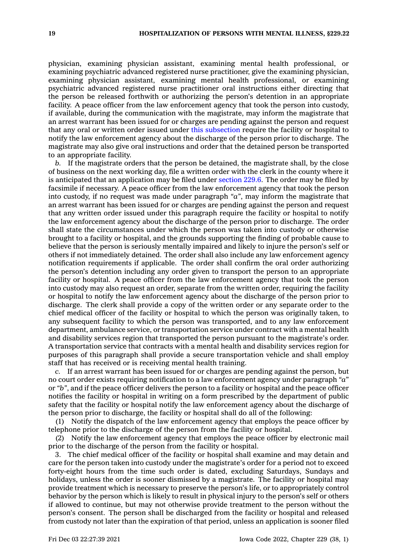physician, examining physician assistant, examining mental health professional, or examining psychiatric advanced registered nurse practitioner, give the examining physician, examining physician assistant, examining mental health professional, or examining psychiatric advanced registered nurse practitioner oral instructions either directing that the person be released forthwith or authorizing the person's detention in an appropriate facility. A peace officer from the law enforcement agency that took the person into custody, if available, during the communication with the magistrate, may inform the magistrate that an arrest warrant has been issued for or charges are pending against the person and request that any oral or written order issued under this [subsection](https://www.legis.iowa.gov/docs/code/229.22.pdf) require the facility or hospital to notify the law enforcement agency about the discharge of the person prior to discharge. The magistrate may also give oral instructions and order that the detained person be transported to an appropriate facility.

*b.* If the magistrate orders that the person be detained, the magistrate shall, by the close of business on the next working day, file <sup>a</sup> written order with the clerk in the county where it is anticipated that an application may be filed under [section](https://www.legis.iowa.gov/docs/code/229.6.pdf) 229.6. The order may be filed by facsimile if necessary. A peace officer from the law enforcement agency that took the person into custody, if no request was made under paragraph *"a"*, may inform the magistrate that an arrest warrant has been issued for or charges are pending against the person and request that any written order issued under this paragraph require the facility or hospital to notify the law enforcement agency about the discharge of the person prior to discharge. The order shall state the circumstances under which the person was taken into custody or otherwise brought to <sup>a</sup> facility or hospital, and the grounds supporting the finding of probable cause to believe that the person is seriously mentally impaired and likely to injure the person's self or others if not immediately detained. The order shall also include any law enforcement agency notification requirements if applicable. The order shall confirm the oral order authorizing the person's detention including any order given to transport the person to an appropriate facility or hospital. A peace officer from the law enforcement agency that took the person into custody may also request an order, separate from the written order, requiring the facility or hospital to notify the law enforcement agency about the discharge of the person prior to discharge. The clerk shall provide <sup>a</sup> copy of the written order or any separate order to the chief medical officer of the facility or hospital to which the person was originally taken, to any subsequent facility to which the person was transported, and to any law enforcement department, ambulance service, or transportation service under contract with <sup>a</sup> mental health and disability services region that transported the person pursuant to the magistrate's order. A transportation service that contracts with <sup>a</sup> mental health and disability services region for purposes of this paragraph shall provide <sup>a</sup> secure transportation vehicle and shall employ staff that has received or is receiving mental health training.

*c.* If an arrest warrant has been issued for or charges are pending against the person, but no court order exists requiring notification to <sup>a</sup> law enforcement agency under paragraph *"a*" or *"b"*, and if the peace officer delivers the person to <sup>a</sup> facility or hospital and the peace officer notifies the facility or hospital in writing on <sup>a</sup> form prescribed by the department of public safety that the facility or hospital notify the law enforcement agency about the discharge of the person prior to discharge, the facility or hospital shall do all of the following:

(1) Notify the dispatch of the law enforcement agency that employs the peace officer by telephone prior to the discharge of the person from the facility or hospital.

(2) Notify the law enforcement agency that employs the peace officer by electronic mail prior to the discharge of the person from the facility or hospital.

3. The chief medical officer of the facility or hospital shall examine and may detain and care for the person taken into custody under the magistrate's order for <sup>a</sup> period not to exceed forty-eight hours from the time such order is dated, excluding Saturdays, Sundays and holidays, unless the order is sooner dismissed by <sup>a</sup> magistrate. The facility or hospital may provide treatment which is necessary to preserve the person's life, or to appropriately control behavior by the person which is likely to result in physical injury to the person's self or others if allowed to continue, but may not otherwise provide treatment to the person without the person's consent. The person shall be discharged from the facility or hospital and released from custody not later than the expiration of that period, unless an application is sooner filed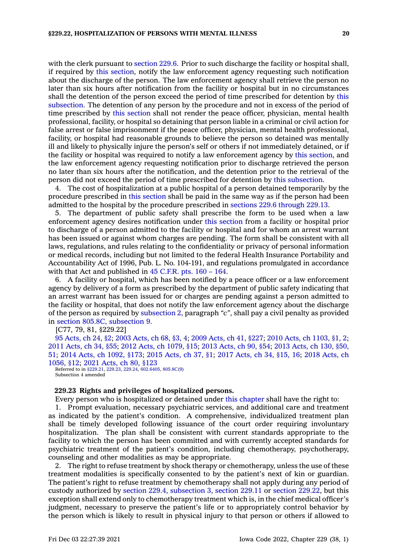with the clerk pursuant to [section](https://www.legis.iowa.gov/docs/code/229.6.pdf) 229.6. Prior to such discharge the facility or hospital shall, if required by this [section](https://www.legis.iowa.gov/docs/code/229.22.pdf), notify the law enforcement agency requesting such notification about the discharge of the person. The law enforcement agency shall retrieve the person no later than six hours after notification from the facility or hospital but in no circumstances shall the detention of the person exceed the period of time prescribed for detention by [this](https://www.legis.iowa.gov/docs/code/229.22.pdf) [subsection](https://www.legis.iowa.gov/docs/code/229.22.pdf). The detention of any person by the procedure and not in excess of the period of time prescribed by this [section](https://www.legis.iowa.gov/docs/code/229.22.pdf) shall not render the peace officer, physician, mental health professional, facility, or hospital so detaining that person liable in <sup>a</sup> criminal or civil action for false arrest or false imprisonment if the peace officer, physician, mental health professional, facility, or hospital had reasonable grounds to believe the person so detained was mentally ill and likely to physically injure the person's self or others if not immediately detained, or if the facility or hospital was required to notify <sup>a</sup> law enforcement agency by this [section](https://www.legis.iowa.gov/docs/code/229.22.pdf), and the law enforcement agency requesting notification prior to discharge retrieved the person no later than six hours after the notification, and the detention prior to the retrieval of the person did not exceed the period of time prescribed for detention by this [subsection](https://www.legis.iowa.gov/docs/code/229.22.pdf).

4. The cost of hospitalization at <sup>a</sup> public hospital of <sup>a</sup> person detained temporarily by the procedure prescribed in this [section](https://www.legis.iowa.gov/docs/code/229.22.pdf) shall be paid in the same way as if the person had been admitted to the hospital by the procedure prescribed in sections 229.6 [through](https://www.legis.iowa.gov/docs/code/229.6.pdf) 229.13.

5. The department of public safety shall prescribe the form to be used when <sup>a</sup> law enforcement agency desires notification under this [section](https://www.legis.iowa.gov/docs/code/229.22.pdf) from <sup>a</sup> facility or hospital prior to discharge of <sup>a</sup> person admitted to the facility or hospital and for whom an arrest warrant has been issued or against whom charges are pending. The form shall be consistent with all laws, regulations, and rules relating to the confidentiality or privacy of personal information or medical records, including but not limited to the federal Health Insurance Portability and Accountability Act of 1996, Pub. L. No. 104-191, and regulations promulgated in accordance with that Act and published in  $45$  [C.F.R.](https://www.law.cornell.edu/cfr/text/45/part-160-164) pts. 160 – 164.

6. A facility or hospital, which has been notified by <sup>a</sup> peace officer or <sup>a</sup> law enforcement agency by delivery of <sup>a</sup> form as prescribed by the department of public safety indicating that an arrest warrant has been issued for or charges are pending against <sup>a</sup> person admitted to the facility or hospital, that does not notify the law enforcement agency about the discharge of the person as required by [subsection](https://www.legis.iowa.gov/docs/code/229.22.pdf) 2, paragraph *"c"*, shall pay <sup>a</sup> civil penalty as provided in section 805.8C, [subsection](https://www.legis.iowa.gov/docs/code/805.8C.pdf) 9.

[C77, 79, 81, §229.22]

 [Acts,](https://www.legis.iowa.gov/docs/acts/1995/CH0024.pdf) ch 24, §2; 2003 [Acts,](https://www.legis.iowa.gov/docs/acts/2003/CH0068.pdf) ch 68, §3, 4; 2009 [Acts,](https://www.legis.iowa.gov/docs/acts/2009/CH0041.pdf) ch 41, §227; 2010 Acts, ch [1103,](https://www.legis.iowa.gov/docs/acts/2010/CH1103.pdf) §1, 2; [Acts,](https://www.legis.iowa.gov/docs/acts/2011/CH0034.pdf) ch 34, §55; 2012 Acts, ch [1079,](https://www.legis.iowa.gov/docs/acts/2012/CH1079.pdf) §15; 2013 [Acts,](https://www.legis.iowa.gov/docs/acts/2013/CH0090.pdf) ch 90, §54; 2013 [Acts,](https://www.legis.iowa.gov/docs/acts/2013/CH0130.pdf) ch 130, §50, ; 2014 Acts, ch [1092,](https://www.legis.iowa.gov/docs/acts/2014/CH1092.pdf) §173; 2015 [Acts,](https://www.legis.iowa.gov/docs/acts/2015/CH0037.pdf) ch 37, §1; 2017 [Acts,](https://www.legis.iowa.gov/docs/acts/2017/CH0034.pdf) ch 34, §15, 16; 2018 [Acts,](https://www.legis.iowa.gov/docs/acts/2018/CH1056.pdf) ch [1056,](https://www.legis.iowa.gov/docs/acts/2018/CH1056.pdf) §12; 2021 [Acts,](https://www.legis.iowa.gov/docs/acts/2021/CH0080.pdf) ch 80, §123

Referred to in [§229.21](https://www.legis.iowa.gov/docs/code/229.21.pdf), [229.23](https://www.legis.iowa.gov/docs/code/229.23.pdf), [229.24](https://www.legis.iowa.gov/docs/code/229.24.pdf), [602.6405](https://www.legis.iowa.gov/docs/code/602.6405.pdf), [805.8C\(9\)](https://www.legis.iowa.gov/docs/code/805.8C.pdf) Subsection 4 amended

### **229.23 Rights and privileges of hospitalized persons.**

Every person who is hospitalized or detained under this [chapter](https://www.legis.iowa.gov/docs/code//229.pdf) shall have the right to:

1. Prompt evaluation, necessary psychiatric services, and additional care and treatment as indicated by the patient's condition. A comprehensive, individualized treatment plan shall be timely developed following issuance of the court order requiring involuntary hospitalization. The plan shall be consistent with current standards appropriate to the facility to which the person has been committed and with currently accepted standards for psychiatric treatment of the patient's condition, including chemotherapy, psychotherapy, counseling and other modalities as may be appropriate.

2. The right to refuse treatment by shock therapy or chemotherapy, unless the use of these treatment modalities is specifically consented to by the patient's next of kin or guardian. The patient's right to refuse treatment by chemotherapy shall not apply during any period of custody authorized by section 229.4, [subsection](https://www.legis.iowa.gov/docs/code/229.4.pdf) 3, [section](https://www.legis.iowa.gov/docs/code/229.11.pdf) 229.11 or section [229.22](https://www.legis.iowa.gov/docs/code/229.22.pdf), but this exception shall extend only to chemotherapy treatment which is, in the chief medical officer's judgment, necessary to preserve the patient's life or to appropriately control behavior by the person which is likely to result in physical injury to that person or others if allowed to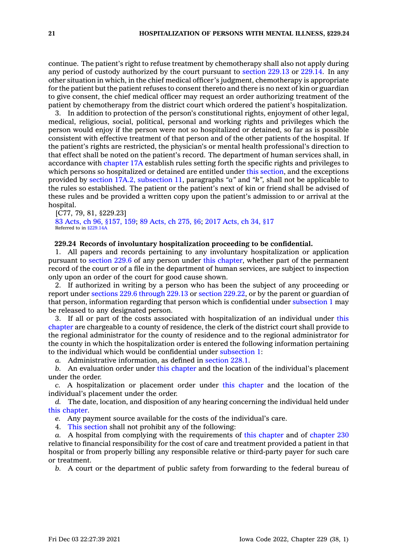continue. The patient's right to refuse treatment by chemotherapy shall also not apply during any period of custody authorized by the court pursuant to [section](https://www.legis.iowa.gov/docs/code/229.13.pdf) 229.13 or [229.14](https://www.legis.iowa.gov/docs/code/229.14.pdf). In any other situation in which, in the chief medical officer's judgment, chemotherapy is appropriate for the patient but the patient refuses to consent thereto and there is no next of kin or guardian to give consent, the chief medical officer may request an order authorizing treatment of the patient by chemotherapy from the district court which ordered the patient's hospitalization.

3. In addition to protection of the person's constitutional rights, enjoyment of other legal, medical, religious, social, political, personal and working rights and privileges which the person would enjoy if the person were not so hospitalized or detained, so far as is possible consistent with effective treatment of that person and of the other patients of the hospital. If the patient's rights are restricted, the physician's or mental health professional's direction to that effect shall be noted on the patient's record. The department of human services shall, in accordance with [chapter](https://www.legis.iowa.gov/docs/code//17A.pdf) 17A establish rules setting forth the specific rights and privileges to which persons so hospitalized or detained are entitled under this [section](https://www.legis.iowa.gov/docs/code/229.23.pdf), and the exceptions provided by section 17A.2, [subsection](https://www.legis.iowa.gov/docs/code/17A.2.pdf) 11, paragraphs *"a"* and *"k",* shall not be applicable to the rules so established. The patient or the patient's next of kin or friend shall be advised of these rules and be provided <sup>a</sup> written copy upon the patient's admission to or arrival at the hospital.

[C77, 79, 81, §229.23] 83 Acts, ch 96, [§157,](https://www.legis.iowa.gov/docs/acts/1983/CH0096.pdf) 159; 89 [Acts,](https://www.legis.iowa.gov/docs/acts/89/CH0275.pdf) ch 275, §6; 2017 [Acts,](https://www.legis.iowa.gov/docs/acts/2017/CH0034.pdf) ch 34, §17 Referred to in  $\frac{$229}{4}$ 

# **229.24 Records of involuntary hospitalization proceeding to be confidential.**

1. All papers and records pertaining to any involuntary hospitalization or application pursuant to [section](https://www.legis.iowa.gov/docs/code/229.6.pdf) 229.6 of any person under this [chapter](https://www.legis.iowa.gov/docs/code//229.pdf), whether part of the permanent record of the court or of <sup>a</sup> file in the department of human services, are subject to inspection only upon an order of the court for good cause shown.

2. If authorized in writing by <sup>a</sup> person who has been the subject of any proceeding or report under sections 229.6 [through](https://www.legis.iowa.gov/docs/code/229.6.pdf) 229.13 or section [229.22](https://www.legis.iowa.gov/docs/code/229.22.pdf), or by the parent or guardian of that person, information regarding that person which is confidential under [subsection](https://www.legis.iowa.gov/docs/code/229.24.pdf) 1 may be released to any designated person.

3. If all or part of the costs associated with hospitalization of an individual under [this](https://www.legis.iowa.gov/docs/code//229.pdf) [chapter](https://www.legis.iowa.gov/docs/code//229.pdf) are chargeable to <sup>a</sup> county of residence, the clerk of the district court shall provide to the regional administrator for the county of residence and to the regional administrator for the county in which the hospitalization order is entered the following information pertaining to the individual which would be confidential under [subsection](https://www.legis.iowa.gov/docs/code/229.24.pdf) 1:

*a.* Administrative information, as defined in [section](https://www.legis.iowa.gov/docs/code/228.1.pdf) 228.1.

*b.* An evaluation order under this [chapter](https://www.legis.iowa.gov/docs/code//229.pdf) and the location of the individual's placement under the order.

*c.* A hospitalization or placement order under this [chapter](https://www.legis.iowa.gov/docs/code//229.pdf) and the location of the individual's placement under the order.

*d.* The date, location, and disposition of any hearing concerning the individual held under this [chapter](https://www.legis.iowa.gov/docs/code//229.pdf).

*e.* Any payment source available for the costs of the individual's care.

4. This [section](https://www.legis.iowa.gov/docs/code/229.24.pdf) shall not prohibit any of the following:

*a.* A hospital from complying with the requirements of this [chapter](https://www.legis.iowa.gov/docs/code//229.pdf) and of [chapter](https://www.legis.iowa.gov/docs/code//230.pdf) 230 relative to financial responsibility for the cost of care and treatment provided <sup>a</sup> patient in that hospital or from properly billing any responsible relative or third-party payer for such care or treatment.

*b.* A court or the department of public safety from forwarding to the federal bureau of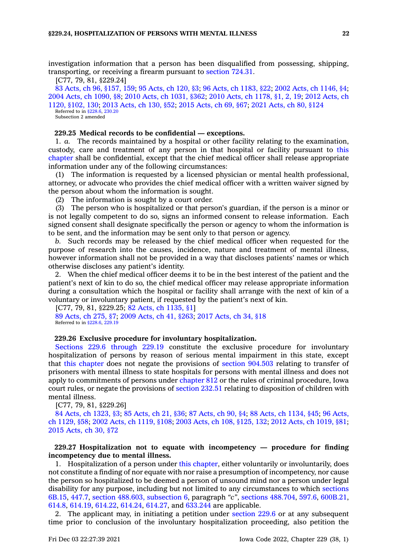investigation information that <sup>a</sup> person has been disqualified from possessing, shipping, transporting, or receiving <sup>a</sup> firearm pursuant to [section](https://www.legis.iowa.gov/docs/code/724.31.pdf) 724.31.

[C77, 79, 81, §229.24]

83 Acts, ch 96, [§157,](https://www.legis.iowa.gov/docs/acts/1983/CH0096.pdf) 159; 95 [Acts,](https://www.legis.iowa.gov/docs/acts/95/CH0120.pdf) ch 120, §3; 96 Acts, ch [1183,](https://www.legis.iowa.gov/docs/acts/96/CH1183.pdf) §22; 2002 Acts, ch [1146,](https://www.legis.iowa.gov/docs/acts/2002/CH1146.pdf) §4; 2004 Acts, ch [1090,](https://www.legis.iowa.gov/docs/acts/2004/CH1090.pdf) §8; 2010 Acts, ch [1031,](https://www.legis.iowa.gov/docs/acts/2010/CH1031.pdf) §362; 2010 Acts, ch [1178,](https://www.legis.iowa.gov/docs/acts/2010/CH1178.pdf) §1, 2, 19; 2012 [Acts,](https://www.legis.iowa.gov/docs/acts/2012/CH1120.pdf) ch 1120, [§102,](https://www.legis.iowa.gov/docs/acts/2012/CH1120.pdf) 130; 2013 [Acts,](https://www.legis.iowa.gov/docs/acts/2013/CH0130.pdf) ch 130, §52; 2015 [Acts,](https://www.legis.iowa.gov/docs/acts/2015/CH0069.pdf) ch 69, §67; 2021 [Acts,](https://www.legis.iowa.gov/docs/acts/2021/CH0080.pdf) ch 80, §124 Referred to in [§228.6](https://www.legis.iowa.gov/docs/code/228.6.pdf), [230.20](https://www.legis.iowa.gov/docs/code/230.20.pdf) Subsection 2 amended

# **229.25 Medical records to be confidential —exceptions.**

1. *a.* The records maintained by <sup>a</sup> hospital or other facility relating to the examination, custody, care and treatment of any person in that hospital or facility pursuant to [this](https://www.legis.iowa.gov/docs/code//229.pdf) [chapter](https://www.legis.iowa.gov/docs/code//229.pdf) shall be confidential, except that the chief medical officer shall release appropriate information under any of the following circumstances:

(1) The information is requested by <sup>a</sup> licensed physician or mental health professional, attorney, or advocate who provides the chief medical officer with <sup>a</sup> written waiver signed by the person about whom the information is sought.

(2) The information is sought by <sup>a</sup> court order.

(3) The person who is hospitalized or that person's guardian, if the person is <sup>a</sup> minor or is not legally competent to do so, signs an informed consent to release information. Each signed consent shall designate specifically the person or agency to whom the information is to be sent, and the information may be sent only to that person or agency.

*b.* Such records may be released by the chief medical officer when requested for the purpose of research into the causes, incidence, nature and treatment of mental illness, however information shall not be provided in <sup>a</sup> way that discloses patients' names or which otherwise discloses any patient's identity.

2. When the chief medical officer deems it to be in the best interest of the patient and the patient's next of kin to do so, the chief medical officer may release appropriate information during <sup>a</sup> consultation which the hospital or facility shall arrange with the next of kin of <sup>a</sup> voluntary or involuntary patient, if requested by the patient's next of kin.

[C77, 79, 81, §229.25; 82 Acts, ch [1135,](https://www.legis.iowa.gov/docs/acts/1982/CH1135.pdf) §1] 89 [Acts,](https://www.legis.iowa.gov/docs/acts/1989/CH0275.pdf) ch 275, §7; 2009 [Acts,](https://www.legis.iowa.gov/docs/acts/2009/CH0041.pdf) ch 41, §263; 2017 [Acts,](https://www.legis.iowa.gov/docs/acts/2017/CH0034.pdf) ch 34, §18 Referred to in [§228.6](https://www.legis.iowa.gov/docs/code/228.6.pdf), [229.19](https://www.legis.iowa.gov/docs/code/229.19.pdf)

### **229.26 Exclusive procedure for involuntary hospitalization.**

Sections 229.6 [through](https://www.legis.iowa.gov/docs/code/229.6.pdf) 229.19 constitute the exclusive procedure for involuntary hospitalization of persons by reason of serious mental impairment in this state, except that this [chapter](https://www.legis.iowa.gov/docs/code//229.pdf) does not negate the provisions of section [904.503](https://www.legis.iowa.gov/docs/code/904.503.pdf) relating to transfer of prisoners with mental illness to state hospitals for persons with mental illness and does not apply to commitments of persons under [chapter](https://www.legis.iowa.gov/docs/code//812.pdf) 812 or the rules of criminal procedure, Iowa court rules, or negate the provisions of [section](https://www.legis.iowa.gov/docs/code/232.51.pdf) 232.51 relating to disposition of children with mental illness.

[C77, 79, 81, §229.26]

84 Acts, ch [1323,](https://www.legis.iowa.gov/docs/acts/1984/CH1323.pdf) §3; 85 [Acts,](https://www.legis.iowa.gov/docs/acts/85/CH0021.pdf) ch 21, §36; 87 [Acts,](https://www.legis.iowa.gov/docs/acts/87/CH0090.pdf) ch 90, §4; 88 Acts, ch [1134,](https://www.legis.iowa.gov/docs/acts/88/CH1134.pdf) §45; 96 [Acts,](https://www.legis.iowa.gov/docs/acts/96/CH1129.pdf) ch [1129,](https://www.legis.iowa.gov/docs/acts/96/CH1129.pdf) §58; 2002 Acts, ch [1119,](https://www.legis.iowa.gov/docs/acts/2002/CH1119.pdf) §108; 2003 Acts, ch 108, [§125,](https://www.legis.iowa.gov/docs/acts/2003/CH0108.pdf) 132; 2012 Acts, ch [1019,](https://www.legis.iowa.gov/docs/acts/2012/CH1019.pdf) §81; 2015 [Acts,](https://www.legis.iowa.gov/docs/acts/2015/CH0030.pdf) ch 30, §72

# **229.27 Hospitalization not to equate with incompetency — procedure for finding incompetency due to mental illness.**

1. Hospitalization of <sup>a</sup> person under this [chapter](https://www.legis.iowa.gov/docs/code//229.pdf), either voluntarily or involuntarily, does not constitute <sup>a</sup> finding of nor equate with nor raise <sup>a</sup> presumption of incompetency, nor cause the person so hospitalized to be deemed <sup>a</sup> person of unsound mind nor <sup>a</sup> person under legal disability for any purpose, including but not limited to any circumstances to which [sections](https://www.legis.iowa.gov/docs/code/6B.15.pdf) [6B.15](https://www.legis.iowa.gov/docs/code/6B.15.pdf), [447.7](https://www.legis.iowa.gov/docs/code/447.7.pdf), section 488.603, [subsection](https://www.legis.iowa.gov/docs/code/488.603.pdf) 6, paragraph *"c"*, sections [488.704](https://www.legis.iowa.gov/docs/code/488.704.pdf), [597.6](https://www.legis.iowa.gov/docs/code/597.6.pdf), [600B.21](https://www.legis.iowa.gov/docs/code/600B.21.pdf), [614.8](https://www.legis.iowa.gov/docs/code/614.8.pdf), [614.19](https://www.legis.iowa.gov/docs/code/614.19.pdf), [614.22](https://www.legis.iowa.gov/docs/code/614.22.pdf), [614.24](https://www.legis.iowa.gov/docs/code/614.24.pdf), [614.27](https://www.legis.iowa.gov/docs/code/614.27.pdf), and [633.244](https://www.legis.iowa.gov/docs/code/633.244.pdf) are applicable.

2. The applicant may, in initiating <sup>a</sup> petition under [section](https://www.legis.iowa.gov/docs/code/229.6.pdf) 229.6 or at any subsequent time prior to conclusion of the involuntary hospitalization proceeding, also petition the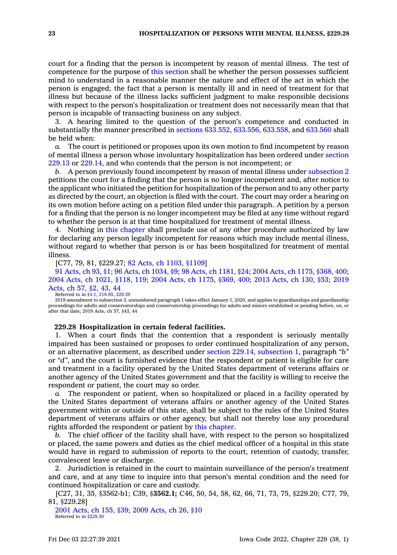court for <sup>a</sup> finding that the person is incompetent by reason of mental illness. The test of competence for the purpose of this [section](https://www.legis.iowa.gov/docs/code/229.27.pdf) shall be whether the person possesses sufficient mind to understand in <sup>a</sup> reasonable manner the nature and effect of the act in which the person is engaged; the fact that <sup>a</sup> person is mentally ill and in need of treatment for that illness but because of the illness lacks sufficient judgment to make responsible decisions with respect to the person's hospitalization or treatment does not necessarily mean that that person is incapable of transacting business on any subject.

3. A hearing limited to the question of the person's competence and conducted in substantially the manner prescribed in sections [633.552](https://www.legis.iowa.gov/docs/code/633.552.pdf), [633.556](https://www.legis.iowa.gov/docs/code/633.556.pdf), [633.558](https://www.legis.iowa.gov/docs/code/633.558.pdf), and [633.560](https://www.legis.iowa.gov/docs/code/633.560.pdf) shall be held when:

*a.* The court is petitioned or proposes upon its own motion to find incompetent by reason of mental illness <sup>a</sup> person whose involuntary hospitalization has been ordered under [section](https://www.legis.iowa.gov/docs/code/229.13.pdf) [229.13](https://www.legis.iowa.gov/docs/code/229.13.pdf) or [229.14](https://www.legis.iowa.gov/docs/code/229.14.pdf), and who contends that the person is not incompetent; or

*b.* A person previously found incompetent by reason of mental illness under [subsection](https://www.legis.iowa.gov/docs/code/229.27.pdf) 2 petitions the court for <sup>a</sup> finding that the person is no longer incompetent and, after notice to the applicant who initiated the petition for hospitalization of the person and to any other party as directed by the court, an objection is filed with the court. The court may order <sup>a</sup> hearing on its own motion before acting on <sup>a</sup> petition filed under this paragraph. A petition by <sup>a</sup> person for <sup>a</sup> finding that the person is no longer incompetent may be filed at any time without regard to whether the person is at that time hospitalized for treatment of mental illness.

4. Nothing in this [chapter](https://www.legis.iowa.gov/docs/code//229.pdf) shall preclude use of any other procedure authorized by law for declaring any person legally incompetent for reasons which may include mental illness, without regard to whether that person is or has been hospitalized for treatment of mental illness.

[C77, 79, 81, §229.27; 82 Acts, ch 1103, [§1109](https://www.legis.iowa.gov/docs/acts/1982/CH1103.pdf)]

91 [Acts,](https://www.legis.iowa.gov/docs/acts/1991/CH0093.pdf) ch 93, §1; 96 Acts, ch [1034,](https://www.legis.iowa.gov/docs/acts/96/CH1034.pdf) §9; 98 Acts, ch [1181,](https://www.legis.iowa.gov/docs/acts/98/CH1181.pdf) §24; 2004 Acts, ch 1175, [§368,](https://www.legis.iowa.gov/docs/acts/2004/CH1175.pdf) 400; 2004 Acts, ch 1021, [§118,](https://www.legis.iowa.gov/docs/acts/2004/CH1021.pdf) 119; 2004 Acts, ch 1175, [§369,](https://www.legis.iowa.gov/docs/acts/2004/CH1175.pdf) 400; 2013 [Acts,](https://www.legis.iowa.gov/docs/acts/2013/CH0130.pdf) ch 130, §53; [2019](https://www.legis.iowa.gov/docs/acts/2019/CH0057.pdf) [Acts,](https://www.legis.iowa.gov/docs/acts/2019/CH0057.pdf) ch 57, §2, 43, 44

#### Referred to in [§4.1](https://www.legis.iowa.gov/docs/code/4.1.pdf), [218.95](https://www.legis.iowa.gov/docs/code/218.95.pdf), [229.39](https://www.legis.iowa.gov/docs/code/229.39.pdf)

2019 amendment to subsection 3, unnumbered paragraph 1 takes effect January 1, 2020, and applies to guardianships and guardianship proceedings for adults and conservatorships and conservatorship proceedings for adults and minors established or pending before, on, or after that date; 2019 Acts, ch 57, §43, 44

### **229.28 Hospitalization in certain federal facilities.**

1. When <sup>a</sup> court finds that the contention that <sup>a</sup> respondent is seriously mentally impaired has been sustained or proposes to order continued hospitalization of any person, or an alternative placement, as described under section 229.14, [subsection](https://www.legis.iowa.gov/docs/code/229.14.pdf) 1, paragraph *"b"* or *"d"*, and the court is furnished evidence that the respondent or patient is eligible for care and treatment in <sup>a</sup> facility operated by the United States department of veterans affairs or another agency of the United States government and that the facility is willing to receive the respondent or patient, the court may so order.

*a.* The respondent or patient, when so hospitalized or placed in <sup>a</sup> facility operated by the United States department of veterans affairs or another agency of the United States government within or outside of this state, shall be subject to the rules of the United States department of veterans affairs or other agency, but shall not thereby lose any procedural rights afforded the respondent or patient by this [chapter](https://www.legis.iowa.gov/docs/code//229.pdf).

*b.* The chief officer of the facility shall have, with respect to the person so hospitalized or placed, the same powers and duties as the chief medical officer of <sup>a</sup> hospital in this state would have in regard to submission of reports to the court, retention of custody, transfer, convalescent leave or discharge.

2. Jurisdiction is retained in the court to maintain surveillance of the person's treatment and care, and at any time to inquire into that person's mental condition and the need for continued hospitalization or care and custody.

[C27, 31, 35, §3562-b1; C39, §**3562.1;** C46, 50, 54, 58, 62, 66, 71, 73, 75, §229.20; C77, 79, 81, §229.28]

2001 [Acts,](https://www.legis.iowa.gov/docs/acts/2001/CH0155.pdf) ch 155, §39; 2009 [Acts,](https://www.legis.iowa.gov/docs/acts/2009/CH0026.pdf) ch 26, §10 Referred to in [§229.30](https://www.legis.iowa.gov/docs/code/229.30.pdf)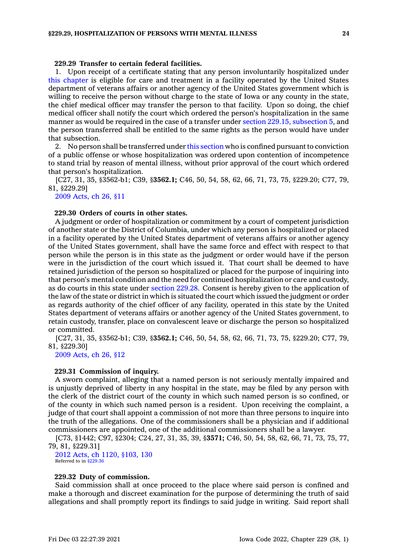# **229.29 Transfer to certain federal facilities.**

1. Upon receipt of <sup>a</sup> certificate stating that any person involuntarily hospitalized under this [chapter](https://www.legis.iowa.gov/docs/code//229.pdf) is eligible for care and treatment in <sup>a</sup> facility operated by the United States department of veterans affairs or another agency of the United States government which is willing to receive the person without charge to the state of Iowa or any county in the state, the chief medical officer may transfer the person to that facility. Upon so doing, the chief medical officer shall notify the court which ordered the person's hospitalization in the same manner as would be required in the case of a transfer under section 229.15, [subsection](https://www.legis.iowa.gov/docs/code/229.15.pdf) 5, and the person transferred shall be entitled to the same rights as the person would have under that subsection.

2. No person shall be transferred under this [section](https://www.legis.iowa.gov/docs/code/229.29.pdf) who is confined pursuant to conviction of <sup>a</sup> public offense or whose hospitalization was ordered upon contention of incompetence to stand trial by reason of mental illness, without prior approval of the court which ordered that person's hospitalization.

[C27, 31, 35, §3562-b1; C39, §**3562.1;** C46, 50, 54, 58, 62, 66, 71, 73, 75, §229.20; C77, 79, 81, §229.29]

2009 [Acts,](https://www.legis.iowa.gov/docs/acts/2009/CH0026.pdf) ch 26, §11

# **229.30 Orders of courts in other states.**

A judgment or order of hospitalization or commitment by <sup>a</sup> court of competent jurisdiction of another state or the District of Columbia, under which any person is hospitalized or placed in <sup>a</sup> facility operated by the United States department of veterans affairs or another agency of the United States government, shall have the same force and effect with respect to that person while the person is in this state as the judgment or order would have if the person were in the jurisdiction of the court which issued it. That court shall be deemed to have retained jurisdiction of the person so hospitalized or placed for the purpose of inquiring into that person's mental condition and the need for continued hospitalization or care and custody, as do courts in this state under [section](https://www.legis.iowa.gov/docs/code/229.28.pdf) 229.28. Consent is hereby given to the application of the law of the state or district in which is situated the court which issued the judgment or order as regards authority of the chief officer of any facility, operated in this state by the United States department of veterans affairs or another agency of the United States government, to retain custody, transfer, place on convalescent leave or discharge the person so hospitalized or committed.

[C27, 31, 35, §3562-b1; C39, §**3562.1;** C46, 50, 54, 58, 62, 66, 71, 73, 75, §229.20; C77, 79, 81, §229.30]

2009 [Acts,](https://www.legis.iowa.gov/docs/acts/2009/CH0026.pdf) ch 26, §12

#### **229.31 Commission of inquiry.**

A sworn complaint, alleging that <sup>a</sup> named person is not seriously mentally impaired and is unjustly deprived of liberty in any hospital in the state, may be filed by any person with the clerk of the district court of the county in which such named person is so confined, or of the county in which such named person is <sup>a</sup> resident. Upon receiving the complaint, <sup>a</sup> judge of that court shall appoint <sup>a</sup> commission of not more than three persons to inquire into the truth of the allegations. One of the commissioners shall be <sup>a</sup> physician and if additional commissioners are appointed, one of the additional commissioners shall be <sup>a</sup> lawyer.

[C73, §1442; C97, §2304; C24, 27, 31, 35, 39, §**3571;** C46, 50, 54, 58, 62, 66, 71, 73, 75, 77, 79, 81, §229.31]

2012 Acts, ch 1120, [§103,](https://www.legis.iowa.gov/docs/acts/2012/CH1120.pdf) 130 Referred to in [§229.36](https://www.legis.iowa.gov/docs/code/229.36.pdf)

# **229.32 Duty of commission.**

Said commission shall at once proceed to the place where said person is confined and make <sup>a</sup> thorough and discreet examination for the purpose of determining the truth of said allegations and shall promptly report its findings to said judge in writing. Said report shall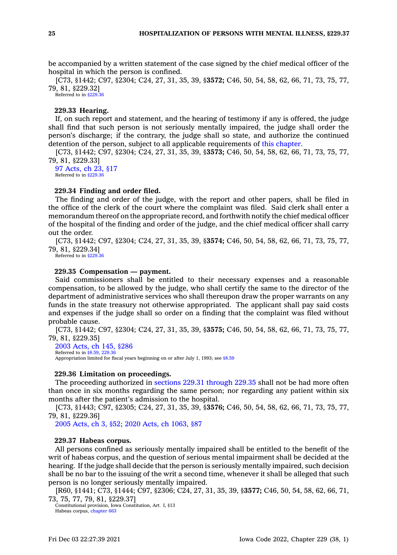be accompanied by <sup>a</sup> written statement of the case signed by the chief medical officer of the hospital in which the person is confined.

[C73, §1442; C97, §2304; C24, 27, 31, 35, 39, §**3572;** C46, 50, 54, 58, 62, 66, 71, 73, 75, 77, 79, 81, §229.32]

Referred to in [§229.36](https://www.legis.iowa.gov/docs/code/229.36.pdf)

# **229.33 Hearing.**

If, on such report and statement, and the hearing of testimony if any is offered, the judge shall find that such person is not seriously mentally impaired, the judge shall order the person's discharge; if the contrary, the judge shall so state, and authorize the continued detention of the person, subject to all applicable requirements of this [chapter](https://www.legis.iowa.gov/docs/code//229.pdf).

[C73, §1442; C97, §2304; C24, 27, 31, 35, 39, §**3573;** C46, 50, 54, 58, 62, 66, 71, 73, 75, 77, 79, 81, §229.33]

97 [Acts,](https://www.legis.iowa.gov/docs/acts/1997/CH0023.pdf) ch 23, §17 Referred to in [§229.36](https://www.legis.iowa.gov/docs/code/229.36.pdf)

# **229.34 Finding and order filed.**

The finding and order of the judge, with the report and other papers, shall be filed in the office of the clerk of the court where the complaint was filed. Said clerk shall enter <sup>a</sup> memorandum thereof on the appropriate record, and forthwith notify the chief medical officer of the hospital of the finding and order of the judge, and the chief medical officer shall carry out the order.

[C73, §1442; C97, §2304; C24, 27, 31, 35, 39, §**3574;** C46, 50, 54, 58, 62, 66, 71, 73, 75, 77, 79, 81, §229.34]

Referred to in [§229.36](https://www.legis.iowa.gov/docs/code/229.36.pdf)

# **229.35 Compensation — payment.**

Said commissioners shall be entitled to their necessary expenses and <sup>a</sup> reasonable compensation, to be allowed by the judge, who shall certify the same to the director of the department of administrative services who shall thereupon draw the proper warrants on any funds in the state treasury not otherwise appropriated. The applicant shall pay said costs and expenses if the judge shall so order on <sup>a</sup> finding that the complaint was filed without probable cause.

[C73, §1442; C97, §2304; C24, 27, 31, 35, 39, §**3575;** C46, 50, 54, 58, 62, 66, 71, 73, 75, 77, 79, 81, §229.35]

2003 [Acts,](https://www.legis.iowa.gov/docs/acts/2003/CH0145.pdf) ch 145, §286 Referred to in [§8.59](https://www.legis.iowa.gov/docs/code/8.59.pdf), [229.36](https://www.legis.iowa.gov/docs/code/229.36.pdf)

Appropriation limited for fiscal years beginning on or after July 1, 1993; see [§8.59](https://www.legis.iowa.gov/docs/code/8.59.pdf)

## **229.36 Limitation on proceedings.**

The proceeding authorized in sections 229.31 [through](https://www.legis.iowa.gov/docs/code/229.31.pdf) 229.35 shall not be had more often than once in six months regarding the same person; nor regarding any patient within six months after the patient's admission to the hospital.

[C73, §1443; C97, §2305; C24, 27, 31, 35, 39, §**3576;** C46, 50, 54, 58, 62, 66, 71, 73, 75, 77, 79, 81, §229.36]

2005 [Acts,](https://www.legis.iowa.gov/docs/acts/2005/CH0003.pdf) ch 3, §52; 2020 Acts, ch [1063,](https://www.legis.iowa.gov/docs/acts/2020/CH1063.pdf) §87

### **229.37 Habeas corpus.**

All persons confined as seriously mentally impaired shall be entitled to the benefit of the writ of habeas corpus, and the question of serious mental impairment shall be decided at the hearing. If the judge shall decide that the person is seriously mentally impaired, such decision shall be no bar to the issuing of the writ <sup>a</sup> second time, whenever it shall be alleged that such person is no longer seriously mentally impaired.

[R60, §1441; C73, §1444; C97, §2306; C24, 27, 31, 35, 39, §**3577;** C46, 50, 54, 58, 62, 66, 71, 73, 75, 77, 79, 81, §229.37]

Constitutional provision, Iowa Constitution, Art. I, §13 Habeas corpus, [chapter](https://www.legis.iowa.gov/docs/code//663.pdf) 663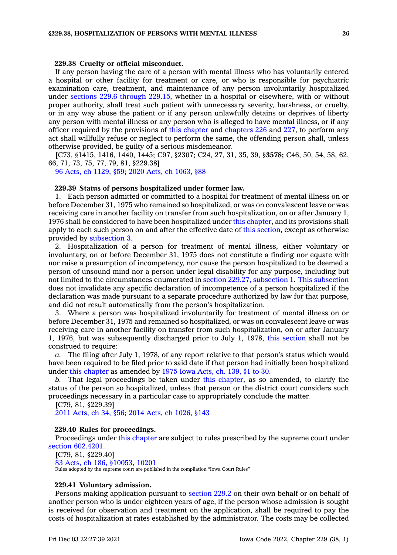### **229.38 Cruelty or official misconduct.**

If any person having the care of <sup>a</sup> person with mental illness who has voluntarily entered <sup>a</sup> hospital or other facility for treatment or care, or who is responsible for psychiatric examination care, treatment, and maintenance of any person involuntarily hospitalized under sections 229.6 [through](https://www.legis.iowa.gov/docs/code/229.6.pdf) 229.15, whether in <sup>a</sup> hospital or elsewhere, with or without proper authority, shall treat such patient with unnecessary severity, harshness, or cruelty, or in any way abuse the patient or if any person unlawfully detains or deprives of liberty any person with mental illness or any person who is alleged to have mental illness, or if any officer required by the provisions of this [chapter](https://www.legis.iowa.gov/docs/code//229.pdf) and [chapters](https://www.legis.iowa.gov/docs/code//226.pdf) 226 and [227](https://www.legis.iowa.gov/docs/code//227.pdf), to perform any act shall willfully refuse or neglect to perform the same, the offending person shall, unless otherwise provided, be guilty of <sup>a</sup> serious misdemeanor.

[C73, §1415, 1416, 1440, 1445; C97, §2307; C24, 27, 31, 35, 39, §**3578;** C46, 50, 54, 58, 62, 66, 71, 73, 75, 77, 79, 81, §229.38]

96 Acts, ch [1129,](https://www.legis.iowa.gov/docs/acts/1996/CH1129.pdf) §59; 2020 Acts, ch [1063,](https://www.legis.iowa.gov/docs/acts/2020/CH1063.pdf) §88

### **229.39 Status of persons hospitalized under former law.**

1. Each person admitted or committed to <sup>a</sup> hospital for treatment of mental illness on or before December 31, 1975 who remained so hospitalized, or was on convalescent leave or was receiving care in another facility on transfer from such hospitalization, on or after January 1, 1976 shall be considered to have been hospitalized under this [chapter](https://www.legis.iowa.gov/docs/code//229.pdf), and its provisions shall apply to each such person on and after the effective date of this [section](https://www.legis.iowa.gov/docs/code/229.39.pdf), except as otherwise provided by [subsection](https://www.legis.iowa.gov/docs/code/229.39.pdf) 3.

2. Hospitalization of <sup>a</sup> person for treatment of mental illness, either voluntary or involuntary, on or before December 31, 1975 does not constitute <sup>a</sup> finding nor equate with nor raise <sup>a</sup> presumption of incompetency, nor cause the person hospitalized to be deemed <sup>a</sup> person of unsound mind nor <sup>a</sup> person under legal disability for any purpose, including but not limited to the circumstances enumerated in section 229.27, [subsection](https://www.legis.iowa.gov/docs/code/229.27.pdf) 1. This [subsection](https://www.legis.iowa.gov/docs/code/229.39.pdf) does not invalidate any specific declaration of incompetence of <sup>a</sup> person hospitalized if the declaration was made pursuant to <sup>a</sup> separate procedure authorized by law for that purpose, and did not result automatically from the person's hospitalization.

3. Where <sup>a</sup> person was hospitalized involuntarily for treatment of mental illness on or before December 31, 1975 and remained so hospitalized, or was on convalescent leave or was receiving care in another facility on transfer from such hospitalization, on or after January 1, 1976, but was subsequently discharged prior to July 1, 1978, this [section](https://www.legis.iowa.gov/docs/code/229.39.pdf) shall not be construed to require:

*a.* The filing after July 1, 1978, of any report relative to that person's status which would have been required to be filed prior to said date if that person had initially been hospitalized under this [chapter](https://www.legis.iowa.gov/docs/code//229.pdf) as amended by 1975 Iowa [Acts,](https://www.legis.iowa.gov/docs/acts/1975/CH0139.pdf) ch. 139, §1 to 30.

*b.* That legal proceedings be taken under this [chapter](https://www.legis.iowa.gov/docs/code//229.pdf), as so amended, to clarify the status of the person so hospitalized, unless that person or the district court considers such proceedings necessary in <sup>a</sup> particular case to appropriately conclude the matter.

[C79, 81, §229.39] 2011 [Acts,](https://www.legis.iowa.gov/docs/acts/2011/CH0034.pdf) ch 34, §56; 2014 Acts, ch [1026,](https://www.legis.iowa.gov/docs/acts/2014/CH1026.pdf) §143

#### **229.40 Rules for proceedings.**

Proceedings under this [chapter](https://www.legis.iowa.gov/docs/code//229.pdf) are subject to rules prescribed by the supreme court under section [602.4201](https://www.legis.iowa.gov/docs/code/602.4201.pdf).

[C79, 81, §229.40] 83 Acts, ch 186, [§10053,](https://www.legis.iowa.gov/docs/acts/1983/CH0186.pdf) 10201 Rules adopted by the supreme court are published in the compilation "Iowa Court Rules"

#### **229.41 Voluntary admission.**

Persons making application pursuant to [section](https://www.legis.iowa.gov/docs/code/229.2.pdf) 229.2 on their own behalf or on behalf of another person who is under eighteen years of age, if the person whose admission is sought is received for observation and treatment on the application, shall be required to pay the costs of hospitalization at rates established by the administrator. The costs may be collected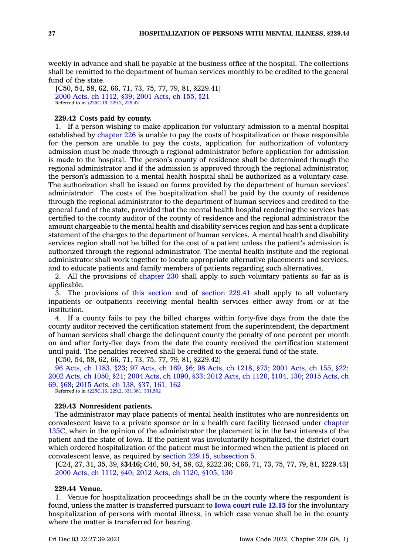weekly in advance and shall be payable at the business office of the hospital. The collections shall be remitted to the department of human services monthly to be credited to the general fund of the state.

[C50, 54, 58, 62, 66, 71, 73, 75, 77, 79, 81, §229.41] 2000 Acts, ch [1112,](https://www.legis.iowa.gov/docs/acts/2000/CH1112.pdf) §39; 2001 [Acts,](https://www.legis.iowa.gov/docs/acts/2001/CH0155.pdf) ch 155, §21 Referred to in [§225C.16](https://www.legis.iowa.gov/docs/code/225C.16.pdf), [229.2](https://www.legis.iowa.gov/docs/code/229.2.pdf), [229.42](https://www.legis.iowa.gov/docs/code/229.42.pdf)

# **229.42 Costs paid by county.**

1. If <sup>a</sup> person wishing to make application for voluntary admission to <sup>a</sup> mental hospital established by [chapter](https://www.legis.iowa.gov/docs/code//226.pdf) 226 is unable to pay the costs of hospitalization or those responsible for the person are unable to pay the costs, application for authorization of voluntary admission must be made through <sup>a</sup> regional administrator before application for admission is made to the hospital. The person's county of residence shall be determined through the regional administrator and if the admission is approved through the regional administrator, the person's admission to <sup>a</sup> mental health hospital shall be authorized as <sup>a</sup> voluntary case. The authorization shall be issued on forms provided by the department of human services' administrator. The costs of the hospitalization shall be paid by the county of residence through the regional administrator to the department of human services and credited to the general fund of the state, provided that the mental health hospital rendering the services has certified to the county auditor of the county of residence and the regional administrator the amount chargeable to the mental health and disability services region and has sent <sup>a</sup> duplicate statement of the charges to the department of human services. A mental health and disability services region shall not be billed for the cost of <sup>a</sup> patient unless the patient's admission is authorized through the regional administrator. The mental health institute and the regional administrator shall work together to locate appropriate alternative placements and services, and to educate patients and family members of patients regarding such alternatives.

2. All the provisions of [chapter](https://www.legis.iowa.gov/docs/code//230.pdf) 230 shall apply to such voluntary patients so far as is applicable.

3. The provisions of this [section](https://www.legis.iowa.gov/docs/code/229.42.pdf) and of [section](https://www.legis.iowa.gov/docs/code/229.41.pdf) 229.41 shall apply to all voluntary inpatients or outpatients receiving mental health services either away from or at the institution.

4. If <sup>a</sup> county fails to pay the billed charges within forty-five days from the date the county auditor received the certification statement from the superintendent, the department of human services shall charge the delinquent county the penalty of one percent per month on and after forty-five days from the date the county received the certification statement until paid. The penalties received shall be credited to the general fund of the state.

[C50, 54, 58, 62, 66, 71, 73, 75, 77, 79, 81, §229.42]

96 Acts, ch [1183,](https://www.legis.iowa.gov/docs/acts/1996/CH1183.pdf) §23; 97 [Acts,](https://www.legis.iowa.gov/docs/acts/97/CH0169.pdf) ch 169, §6; 98 Acts, ch [1218,](https://www.legis.iowa.gov/docs/acts/98/CH1218.pdf) §73; 2001 [Acts,](https://www.legis.iowa.gov/docs/acts/2001/CH0155.pdf) ch 155, §22; 2002 Acts, ch [1050,](https://www.legis.iowa.gov/docs/acts/2002/CH1050.pdf) §21; 2004 Acts, ch [1090,](https://www.legis.iowa.gov/docs/acts/2004/CH1090.pdf) §33; 2012 Acts, ch 1120, [§104,](https://www.legis.iowa.gov/docs/acts/2012/CH1120.pdf) 130; 2015 [Acts,](https://www.legis.iowa.gov/docs/acts/2015/CH0069.pdf) ch 69, [§68](https://www.legis.iowa.gov/docs/acts/2015/CH0069.pdf); 2015 [Acts,](https://www.legis.iowa.gov/docs/acts/2015/CH0138.pdf) ch 138, §37, 161, 162 Referred to in [§225C.16](https://www.legis.iowa.gov/docs/code/225C.16.pdf), [229.2](https://www.legis.iowa.gov/docs/code/229.2.pdf), [331.381](https://www.legis.iowa.gov/docs/code/331.381.pdf), [331.502](https://www.legis.iowa.gov/docs/code/331.502.pdf)

### **229.43 Nonresident patients.**

The administrator may place patients of mental health institutes who are nonresidents on convalescent leave to <sup>a</sup> private sponsor or in <sup>a</sup> health care facility licensed under [chapter](https://www.legis.iowa.gov/docs/code//135C.pdf) [135C](https://www.legis.iowa.gov/docs/code//135C.pdf), when in the opinion of the administrator the placement is in the best interests of the patient and the state of Iowa. If the patient was involuntarily hospitalized, the district court which ordered hospitalization of the patient must be informed when the patient is placed on convalescent leave, as required by section 229.15, [subsection](https://www.legis.iowa.gov/docs/code/229.15.pdf) 5.

[C24, 27, 31, 35, 39, §**3446;** C46, 50, 54, 58, 62, §222.36; C66, 71, 73, 75, 77, 79, 81, §229.43] 2000 Acts, ch [1112,](https://www.legis.iowa.gov/docs/acts/2000/CH1112.pdf) §40; 2012 Acts, ch 1120, [§105,](https://www.legis.iowa.gov/docs/acts/2012/CH1120.pdf) 130

# **229.44 Venue.**

1. Venue for hospitalization proceedings shall be in the county where the respondent is found, unless the matter is transferred pursuant to **Iowa [court](https://www.legis.iowa.gov/docs/ACO/CourtRulesChapter/12.pdf) rule 12.15** for the involuntary hospitalization of persons with mental illness, in which case venue shall be in the county where the matter is transferred for hearing.